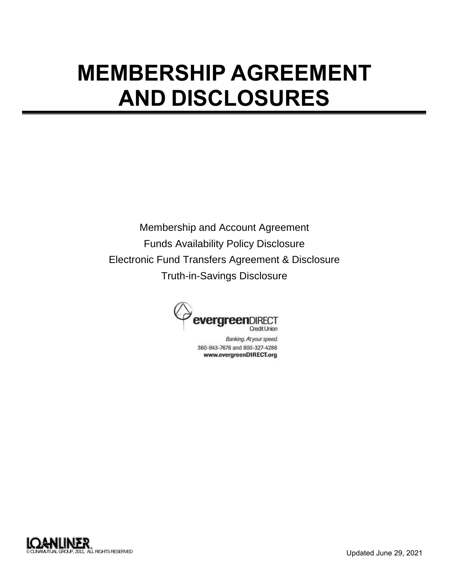# **MEMBERSHIP AGREEMENT AND DISCLOSURES**

Membership and Account Agreement Funds Availability Policy Disclosure Electronic Fund Transfers Agreement & Disclosure Truth-in-Savings Disclosure



Banking. At your speed. 360-943-7676 and 800-327-4286 www.evergreenDIRECT.org

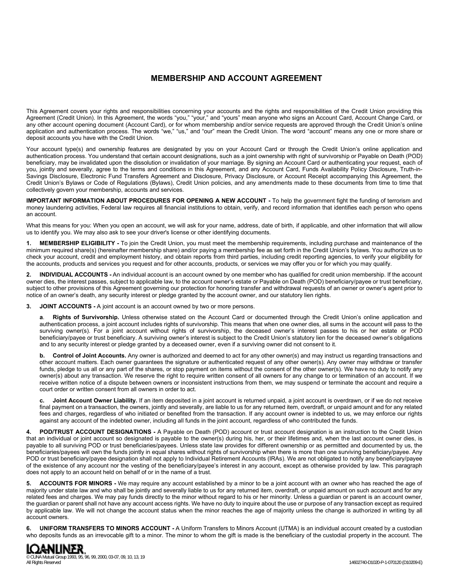## **MEMBERSHIP AND ACCOUNT AGREEMENT**

This Agreement covers your rights and responsibilities concerning your accounts and the rights and responsibilities of the Credit Union providing this Agreement (Credit Union). In this Agreement, the words "you," "your," and "yours" mean anyone who signs an Account Card, Account Change Card, or any other account opening document (Account Card), or for whom membership and/or service requests are approved through the Credit Union's online application and authentication process. The words "we," "us," and "our" mean the Credit Union. The word "account" means any one or more share or deposit accounts you have with the Credit Union.

Your account type(s) and ownership features are designated by you on your Account Card or through the Credit Union's online application and authentication process. You understand that certain account designations, such as a joint ownership with right of survivorship or Payable on Death (POD) beneficiary, may be invalidated upon the dissolution or invalidation of your marriage. By signing an Account Card or authenticating your request, each of you, jointly and severally, agree to the terms and conditions in this Agreement, and any Account Card, Funds Availability Policy Disclosure, Truth-in-Savings Disclosure, Electronic Fund Transfers Agreement and Disclosure, Privacy Disclosure, or Account Receipt accompanying this Agreement, the Credit Union's Bylaws or Code of Regulations (Bylaws), Credit Union policies, and any amendments made to these documents from time to time that collectively govern your membership, accounts and services.

**IMPORTANT INFORMATION ABOUT PROCEDURES FOR OPENING A NEW ACCOUNT -** To help the government fight the funding of terrorism and money laundering activities, Federal law requires all financial institutions to obtain, verify, and record information that identifies each person who opens an account.

What this means for you: When you open an account, we will ask for your name, address, date of birth, if applicable, and other information that will allow us to identify you. We may also ask to see your driver's license or other identifying documents.

**1. MEMBERSHIP ELIGIBILITY -** To join the Credit Union, you must meet the membership requirements, including purchase and maintenance of the minimum required share(s) (hereinafter membership share) and/or paying a membership fee as set forth in the Credit Union's bylaws. You authorize us to check your account, credit and employment history, and obtain reports from third parties, including credit reporting agencies, to verify your eligibility for the accounts, products and services you request and for other accounts, products, or services we may offer you or for which you may qualify.

**2. INDIVIDUAL ACCOUNTS -** An individual account is an account owned by one member who has qualified for credit union membership. If the account owner dies, the interest passes, subject to applicable law, to the account owner's estate or Payable on Death (POD) beneficiary/payee or trust beneficiary, subject to other provisions of this Agreement governing our protection for honoring transfer and withdrawal requests of an owner or owner's agent prior to notice of an owner's death, any security interest or pledge granted by the account owner, and our statutory lien rights.

**3. JOINT ACCOUNTS -** A joint account is an account owned by two or more persons.

**a**. **Rights of Survivorship.** Unless otherwise stated on the Account Card or documented through the Credit Union's online application and authentication process, a joint account includes rights of survivorship. This means that when one owner dies, all sums in the account will pass to the surviving owner(s). For a joint account without rights of survivorship, the deceased owner's interest passes to his or her estate or POD beneficiary/payee or trust beneficiary. A surviving owner's interest is subject to the Credit Union's statutory lien for the deceased owner's obligations and to any security interest or pledge granted by a deceased owner, even if a surviving owner did not consent to it.

**b. Control of Joint Accounts.** Any owner is authorized and deemed to act for any other owner(s) and may instruct us regarding transactions and other account matters. Each owner guarantees the signature or authenticated request of any other owner(s). Any owner may withdraw or transfer funds, pledge to us all or any part of the shares, or stop payment on items without the consent of the other owner(s). We have no duty to notify any owner(s) about any transaction. We reserve the right to require written consent of all owners for any change to or termination of an account. If we receive written notice of a dispute between owners or inconsistent instructions from them, we may suspend or terminate the account and require a court order or written consent from all owners in order to act.

Joint Account Owner Liability. If an item deposited in a joint account is returned unpaid, a joint account is overdrawn, or if we do not receive final payment on a transaction, the owners, jointly and severally, are liable to us for any returned item, overdraft, or unpaid amount and for any related fees and charges, regardless of who initiated or benefited from the transaction. If any account owner is indebted to us, we may enforce our rights against any account of the indebted owner, including all funds in the joint account, regardless of who contributed the funds.

**4. POD/TRUST ACCOUNT DESIGNATIONS -** A Payable on Death (POD) account or trust account designation is an instruction to the Credit Union that an individual or joint account so designated is payable to the owner(s) during his, her, or their lifetimes and, when the last account owner dies, is payable to all surviving POD or trust beneficiaries/payees. Unless state law provides for different ownership or as permitted and documented by us, the beneficiaries/payees will own the funds jointly in equal shares without rights of survivorship when there is more than one surviving beneficiary/payee. Any POD or trust beneficiary/payee designation shall not apply to Individual Retirement Accounts (IRAs). We are not obligated to notify any beneficiary/payee of the existence of any account nor the vesting of the beneficiary/payee's interest in any account, except as otherwise provided by law. This paragraph does not apply to an account held on behalf of or in the name of a trust.

**5. ACCOUNTS FOR MINORS -** We may require any account established by a minor to be a joint account with an owner who has reached the age of majority under state law and who shall be jointly and severally liable to us for any returned item, overdraft, or unpaid amount on such account and for any related fees and charges. We may pay funds directly to the minor without regard to his or her minority. Unless a guardian or parent is an account owner, the guardian or parent shall not have any account access rights. We have no duty to inquire about the use or purpose of any transaction except as required by applicable law. We will not change the account status when the minor reaches the age of majority unless the change is authorized in writing by all account owners.

**6. UNIFORM TRANSFERS TO MINORS ACCOUNT -** A Uniform Transfers to Minors Account (UTMA) is an individual account created by a custodian who deposits funds as an irrevocable gift to a minor. The minor to whom the gift is made is the beneficiary of the custodial property in the account. The

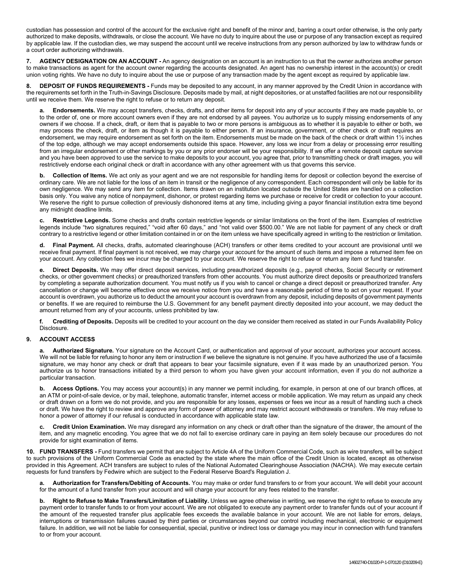custodian has possession and control of the account for the exclusive right and benefit of the minor and, barring a court order otherwise, is the only party authorized to make deposits, withdrawals, or close the account. We have no duty to inquire about the use or purpose of any transaction except as required by applicable law. If the custodian dies, we may suspend the account until we receive instructions from any person authorized by law to withdraw funds or a court order authorizing withdrawals.

**7. AGENCY DESIGNATION ON AN ACCOUNT -** An agency designation on an account is an instruction to us that the owner authorizes another person to make transactions as agent for the account owner regarding the accounts designated. An agent has no ownership interest in the account(s) or credit union voting rights. We have no duty to inquire about the use or purpose of any transaction made by the agent except as required by applicable law.

**8. DEPOSIT OF FUNDS REQUIREMENTS -** Funds may be deposited to any account, in any manner approved by the Credit Union in accordance with the requirements set forth in the Truth-in-Savings Disclosure. Deposits made by mail, at night depositories, or at unstaffed facilities are not our responsibility until we receive them. We reserve the right to refuse or to return any deposit.

**a. Endorsements.** We may accept transfers, checks, drafts, and other items for deposit into any of your accounts if they are made payable to, or to the order of, one or more account owners even if they are not endorsed by all payees. You authorize us to supply missing endorsements of any owners if we choose. If a check, draft, or item that is payable to two or more persons is ambiguous as to whether it is payable to either or both, we may process the check, draft, or item as though it is payable to either person. If an insurance, government, or other check or draft requires an endorsement, we may require endorsement as set forth on the item. Endorsements must be made on the back of the check or draft within 1½ inches of the top edge, although we may accept endorsements outside this space. However, any loss we incur from a delay or processing error resulting from an irregular endorsement or other markings by you or any prior endorser will be your responsibility. If we offer a remote deposit capture service and you have been approved to use the service to make deposits to your account, you agree that, prior to transmitting check or draft images, you will restrictively endorse each original check or draft in accordance with any other agreement with us that governs this service.

**b. Collection of Items.** We act only as your agent and we are not responsible for handling items for deposit or collection beyond the exercise of ordinary care. We are not liable for the loss of an item in transit or the negligence of any correspondent. Each correspondent will only be liable for its own negligence. We may send any item for collection. Items drawn on an institution located outside the United States are handled on a collection basis only. You waive any notice of nonpayment, dishonor, or protest regarding items we purchase or receive for credit or collection to your account. We reserve the right to pursue collection of previously dishonored items at any time, including giving a payor financial institution extra time beyond any midnight deadline limits.

**c. Restrictive Legends.** Some checks and drafts contain restrictive legends or similar limitations on the front of the item. Examples of restrictive legends include "two signatures required," "void after 60 days," and "not valid over \$500.00." We are not liable for payment of any check or draft contrary to a restrictive legend or other limitation contained in or on the item unless we have specifically agreed in writing to the restriction or limitation.

**d. Final Payment.** All checks, drafts, automated clearinghouse (ACH) transfers or other items credited to your account are provisional until we receive final payment. If final payment is not received, we may charge your account for the amount of such items and impose a returned item fee on your account. Any collection fees we incur may be charged to your account. We reserve the right to refuse or return any item or fund transfer.

**e. Direct Deposits.** We may offer direct deposit services, including preauthorized deposits (e.g., payroll checks, Social Security or retirement checks, or other government checks) or preauthorized transfers from other accounts. You must authorize direct deposits or preauthorized transfers by completing a separate authorization document. You must notify us if you wish to cancel or change a direct deposit or preauthorized transfer. Any cancellation or change will become effective once we receive notice from you and have a reasonable period of time to act on your request. If your account is overdrawn, you authorize us to deduct the amount your account is overdrawn from any deposit, including deposits of government payments or benefits. If we are required to reimburse the U.S. Government for any benefit payment directly deposited into your account, we may deduct the amount returned from any of your accounts, unless prohibited by law.

**f. Crediting of Deposits.** Deposits will be credited to your account on the day we consider them received as stated in our Funds Availability Policy **Disclosure** 

## **9. ACCOUNT ACCESS**

Authorized Signature. Your signature on the Account Card, or authentication and approval of your account, authorizes your account access. We will not be liable for refusing to honor any item or instruction if we believe the signature is not genuine. If you have authorized the use of a facsimile signature, we may honor any check or draft that appears to bear your facsimile signature, even if it was made by an unauthorized person. You authorize us to honor transactions initiated by a third person to whom you have given your account information, even if you do not authorize a particular transaction.

**b.** Access Options. You may access your account(s) in any manner we permit including, for example, in person at one of our branch offices, at an ATM or point-of-sale device, or by mail, telephone, automatic transfer, internet access or mobile application. We may return as unpaid any check or draft drawn on a form we do not provide, and you are responsible for any losses, expenses or fees we incur as a result of handling such a check or draft. We have the right to review and approve any form of power of attorney and may restrict account withdrawals or transfers. We may refuse to honor a power of attorney if our refusal is conducted in accordance with applicable state law.

**c. Credit Union Examination.** We may disregard any information on any check or draft other than the signature of the drawer, the amount of the item, and any magnetic encoding. You agree that we do not fail to exercise ordinary care in paying an item solely because our procedures do not provide for sight examination of items.

**10. FUND TRANSFERS -** Fund transfers we permit that are subject to Article 4A of the Uniform Commercial Code, such as wire transfers, will be subject to such provisions of the Uniform Commercial Code as enacted by the state where the main office of the Credit Union is located, except as otherwise provided in this Agreement. ACH transfers are subject to rules of the National Automated Clearinghouse Association (NACHA). We may execute certain requests for fund transfers by Fedwire which are subject to the Federal Reserve Board's Regulation J.

**a. Authorization for Transfers/Debiting of Accounts.** You may make or order fund transfers to or from your account. We will debit your account for the amount of a fund transfer from your account and will charge your account for any fees related to the transfer.

**b. Right to Refuse to Make Transfers/Limitation of Liability.** Unless we agree otherwise in writing, we reserve the right to refuse to execute any payment order to transfer funds to or from your account. We are not obligated to execute any payment order to transfer funds out of your account if the amount of the requested transfer plus applicable fees exceeds the available balance in your account. We are not liable for errors, delays, interruptions or transmission failures caused by third parties or circumstances beyond our control including mechanical, electronic or equipment failure. In addition, we will not be liable for consequential, special, punitive or indirect loss or damage you may incur in connection with fund transfers to or from your account.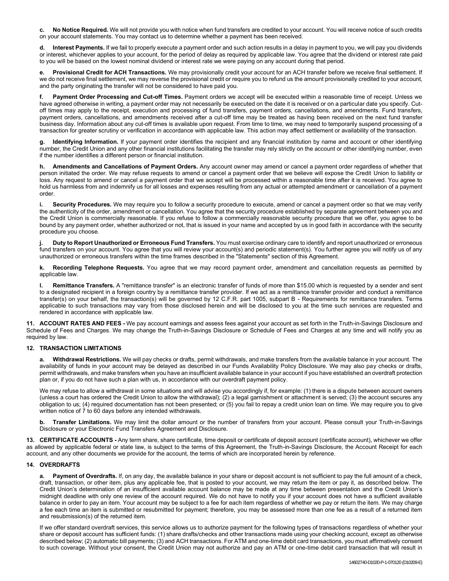**c. No Notice Required.** We will not provide you with notice when fund transfers are credited to your account. You will receive notice of such credits on your account statements. You may contact us to determine whether a payment has been received.

Interest Payments. If we fail to properly execute a payment order and such action results in a delay in payment to you, we will pay you dividends or interest, whichever applies to your account, for the period of delay as required by applicable law. You agree that the dividend or interest rate paid to you will be based on the lowest nominal dividend or interest rate we were paying on any account during that period.

**e. Provisional Credit for ACH Transactions.** We may provisionally credit your account for an ACH transfer before we receive final settlement. If we do not receive final settlement, we may reverse the provisional credit or require you to refund us the amount provisionally credited to your account, and the party originating the transfer will not be considered to have paid you.

**f. Payment Order Processing and Cut-off Times.** Payment orders we accept will be executed within a reasonable time of receipt. Unless we have agreed otherwise in writing, a payment order may not necessarily be executed on the date it is received or on a particular date you specify. Cutoff times may apply to the receipt, execution and processing of fund transfers, payment orders, cancellations, and amendments. Fund transfers, payment orders, cancellations, and amendments received after a cut-off time may be treated as having been received on the next fund transfer business day. Information about any cut-off times is available upon request. From time to time, we may need to temporarily suspend processing of a transaction for greater scrutiny or verification in accordance with applicable law. This action may affect settlement or availability of the transaction.

**g. Identifying Information.** If your payment order identifies the recipient and any financial institution by name and account or other identifying number, the Credit Union and any other financial institutions facilitating the transfer may rely strictly on the account or other identifying number, even if the number identifies a different person or financial institution.

**h. Amendments and Cancellations of Payment Orders.** Any account owner may amend or cancel a payment order regardless of whether that person initiated the order. We may refuse requests to amend or cancel a payment order that we believe will expose the Credit Union to liability or loss. Any request to amend or cancel a payment order that we accept will be processed within a reasonable time after it is received. You agree to hold us harmless from and indemnify us for all losses and expenses resulting from any actual or attempted amendment or cancellation of a payment order.

i. Security Procedures. We may require you to follow a security procedure to execute, amend or cancel a payment order so that we may verify the authenticity of the order, amendment or cancellation. You agree that the security procedure established by separate agreement between you and the Credit Union is commercially reasonable. If you refuse to follow a commercially reasonable security procedure that we offer, you agree to be bound by any payment order, whether authorized or not, that is issued in your name and accepted by us in good faith in accordance with the security procedure you choose.

**j. Duty to Report Unauthorized or Erroneous Fund Transfers.** You must exercise ordinary care to identify and report unauthorized or erroneous fund transfers on your account. You agree that you will review your account(s) and periodic statement(s). You further agree you will notify us of any unauthorized or erroneous transfers within the time frames described in the "Statements" section of this Agreement.

**k. Recording Telephone Requests.** You agree that we may record payment order, amendment and cancellation requests as permitted by applicable law.

**l. Remittance Transfers.** A "remittance transfer" is an electronic transfer of funds of more than \$15.00 which is requested by a sender and sent to a designated recipient in a foreign country by a remittance transfer provider. If we act as a remittance transfer provider and conduct a remittance transfer(s) on your behalf, the transaction(s) will be governed by 12 C.F.R. part 1005, subpart B - Requirements for remittance transfers. Terms applicable to such transactions may vary from those disclosed herein and will be disclosed to you at the time such services are requested and rendered in accordance with applicable law.

**11. ACCOUNT RATES AND FEES -** We pay account earnings and assess fees against your account as set forth in the Truth-in-Savings Disclosure and Schedule of Fees and Charges. We may change the Truth-in-Savings Disclosure or Schedule of Fees and Charges at any time and will notify you as required by law.

#### **12. TRANSACTION LIMITATIONS**

**a. Withdrawal Restrictions.** We will pay checks or drafts, permit withdrawals, and make transfers from the available balance in your account. The availability of funds in your account may be delayed as described in our Funds Availability Policy Disclosure. We may also pay checks or drafts, permit withdrawals, and make transfers when you have an insufficient available balance in your account if you have established an overdraft protection plan or, if you do not have such a plan with us, in accordance with our overdraft payment policy.

We may refuse to allow a withdrawal in some situations and will advise you accordingly if, for example: (1) there is a dispute between account owners (unless a court has ordered the Credit Union to allow the withdrawal); (2) a legal garnishment or attachment is served; (3) the account secures any obligation to us; (4) required documentation has not been presented; or (5) you fail to repay a credit union loan on time. We may require you to give written notice of 7 to 60 days before any intended withdrawals.

**b. Transfer Limitations.** We may limit the dollar amount or the number of transfers from your account. Please consult your Truth-in-Savings Disclosure or your Electronic Fund Transfers Agreement and Disclosure.

**13. CERTIFICATE ACCOUNTS -** Any term share, share certificate, time deposit or certificate of deposit account (certificate account), whichever we offer as allowed by applicable federal or state law, is subject to the terms of this Agreement, the Truth-in-Savings Disclosure, the Account Receipt for each account, and any other documents we provide for the account, the terms of which are incorporated herein by reference.

#### **14. OVERDRAFTS**

Payment of Overdrafts. If, on any day, the available balance in your share or deposit account is not sufficient to pay the full amount of a check, draft, transaction, or other item, plus any applicable fee, that is posted to your account, we may return the item or pay it, as described below. The Credit Union's determination of an insufficient available account balance may be made at any time between presentation and the Credit Union's midnight deadline with only one review of the account required. We do not have to notify you if your account does not have a sufficient available balance in order to pay an item. Your account may be subject to a fee for each item regardless of whether we pay or return the item. We may charge a fee each time an item is submitted or resubmitted for payment; therefore, you may be assessed more than one fee as a result of a returned item and resubmission(s) of the returned item.

If we offer standard overdraft services, this service allows us to authorize payment for the following types of transactions regardless of whether your share or deposit account has sufficient funds: (1) share drafts/checks and other transactions made using your checking account, except as otherwise described below; (2) automatic bill payments; (3) and ACH transactions. For ATM and one-time debit card transactions, you must affirmatively consent to such coverage. Without your consent, the Credit Union may not authorize and pay an ATM or one-time debit card transaction that will result in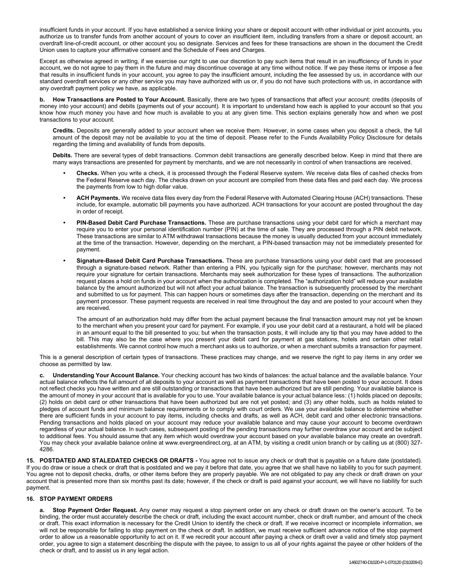insufficient funds in your account. If you have established a service linking your share or deposit account with other individual or joint accounts, you authorize us to transfer funds from another account of yours to cover an insufficient item, including transfers from a share or deposit account, an overdraft line-of-credit account, or other account you so designate. Services and fees for these transactions are shown in the document the Credit Union uses to capture your affirmative consent and the Schedule of Fees and Charges.

Except as otherwise agreed in writing, if we exercise our right to use our discretion to pay such items that result in an insufficiency of funds in your account, we do not agree to pay them in the future and may discontinue coverage at any time without notice. If we pay these items or impose a fee that results in insufficient funds in your account, you agree to pay the insufficient amount, including the fee assessed by us, in accordance with our standard overdraft services or any other service you may have authorized with us or, if you do not have such protections with us, in accordance with any overdraft payment policy we have, as applicable.

**b. How Transactions are Posted to Your Account.** Basically, there are two types of transactions that affect your account: credits (deposits of money into your account) and debits (payments out of your account). It is important to understand how each is applied to your account so that you know how much money you have and how much is available to you at any given time. This section explains generally how and when we post transactions to your account.

**Credits.** Deposits are generally added to your account when we receive them. However, in some cases when you deposit a check, the full amount of the deposit may not be available to you at the time of deposit. Please refer to the Funds Availability Policy Disclosure for details regarding the timing and availability of funds from deposits.

**Debits.** There are several types of debit transactions. Common debit transactions are generally described below. Keep in mind that there are many ways transactions are presented for payment by merchants, and we are not necessarily in control of when transactions are received.

- **• Checks.** When you write a check, it is processed through the Federal Reserve system. We receive data files of cashed checks from the Federal Reserve each day. The checks drawn on your account are compiled from these data files and paid each day. We process the payments from low to high dollar value.
- **• ACH Payments.** We receive data files every day from the Federal Reserve with Automated Clearing House (ACH) transactions. These include, for example, automatic bill payments you have authorized. ACH transactions for your account are posted throughout the day in order of receipt.
- **• PIN-Based Debit Card Purchase Transactions.** These are purchase transactions using your debit card for which a merchant may require you to enter your personal identification number (PIN) at the time of sale. They are processed through a PIN debit network. These transactions are similar to ATM withdrawal transactions because the money is usually deducted from your account immediately at the time of the transaction. However, depending on the merchant, a PIN-based transaction may not be immediately presented for payment.
- **• Signature-Based Debit Card Purchase Transactions.** These are purchase transactions using your debit card that are processed through a signature-based network. Rather than entering a PIN, you typically sign for the purchase; however, merchants may not require your signature for certain transactions. Merchants may seek authorization for these types of transactions. The authorization request places a hold on funds in your account when the authorization is completed. The "authorization hold" will reduce your available balance by the amount authorized but will not affect your actual balance. The transaction is subsequently processed by the merchant and submitted to us for payment. This can happen hours or sometimes days after the transaction, depending on the merchant and its payment processor. These payment requests are received in real time throughout the day and are posted to your account when they are received.

The amount of an authorization hold may differ from the actual payment because the final transaction amount may not yet be known to the merchant when you present your card for payment. For example, if you use your debit card at a restaurant, a hold will be placed in an amount equal to the bill presented to you; but when the transaction posts, it will include any tip that you may have added to the bill. This may also be the case where you present your debit card for payment at gas stations, hotels and certain other retail establishments. We cannot control how much a merchant asks us to authorize, or when a merchant submits a transaction for payment.

This is a general description of certain types of transactions. These practices may change, and we reserve the right to pay items in any order we choose as permitted by law.

**c. Understanding Your Account Balance.** Your checking account has two kinds of balances: the actual balance and the available balance. Your actual balance reflects the full amount of all deposits to your account as well as payment transactions that have been posted to your account. It does not reflect checks you have written and are still outstanding or transactions that have been authorized but are still pending. Your available balance is the amount of money in your account that is available for you to use. Your available balance is your actual balance less: (1) holds placed on deposits; (2) holds on debit card or other transactions that have been authorized but are not yet posted; and (3) any other holds, such as holds related to pledges of account funds and minimum balance requirements or to comply with court orders. We use your available balance to determine whether there are sufficient funds in your account to pay items, including checks and drafts, as well as ACH, debit card and other electronic transactions. Pending transactions and holds placed on your account may reduce your available balance and may cause your account to become overdrawn regardless of your actual balance. In such cases, subsequent posting of the pending transactions may further overdraw your account and be subject to additional fees. You should assume that any item which would overdraw your account based on your available balance may create an overdraft. You may check your available balance online at www.evergreendirect.org, at an ATM, by visiting a credit union branch or by calling us at (800) 327-4286.

**15. POSTDATED AND STALEDATED CHECKS OR DRAFTS -** You agree not to issue any check or draft that is payable on a future date (postdated). If you do draw or issue a check or draft that is postdated and we pay it before that date, you agree that we shall have no liability to you for such payment. You agree not to deposit checks, drafts, or other items before they are properly payable. We are not obligated to pay any check or draft drawn on your account that is presented more than six months past its date; however, if the check or draft is paid against your account, we will have no liability for such payment.

### **16. STOP PAYMENT ORDERS**

**a. Stop Payment Order Request.** Any owner may request a stop payment order on any check or draft drawn on the owner's account. To be binding, the order must accurately describe the check or draft, including the exact account number, check or draft number, and amount of the check or draft. This exact information is necessary for the Credit Union to identify the check or draft. If we receive incorrect or incomplete information, we will not be responsible for failing to stop payment on the check or draft. In addition, we must receive sufficient advance notice of the stop payment order to allow us a reasonable opportunity to act on it. If we recredit your account after paying a check or draft over a valid and timely stop payment order, you agree to sign a statement describing the dispute with the payee, to assign to us all of your rights against the payee or other holders of the check or draft, and to assist us in any legal action.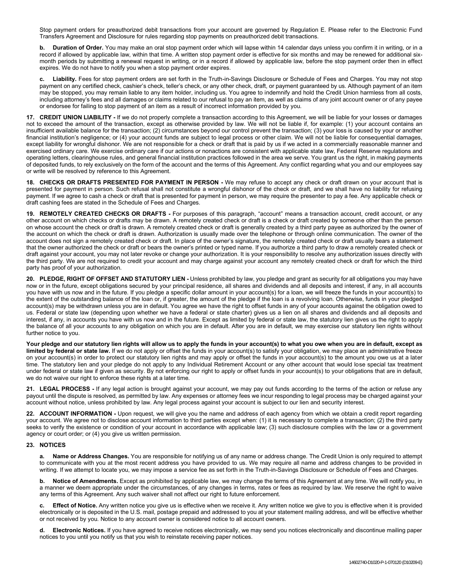Stop payment orders for preauthorized debit transactions from your account are governed by Regulation E. Please refer to the Electronic Fund Transfers Agreement and Disclosure for rules regarding stop payments on preauthorized debit transactions.

**b. Duration of Order.** You may make an oral stop payment order which will lapse within 14 calendar days unless you confirm it in writing, or in a record if allowed by applicable law, within that time. A written stop payment order is effective for six months and may be renewed for additional sixmonth periods by submitting a renewal request in writing, or in a record if allowed by applicable law, before the stop payment order then in effect expires. We do not have to notify you when a stop payment order expires.

**c. Liability.** Fees for stop payment orders are set forth in the Truth-in-Savings Disclosure or Schedule of Fees and Charges. You may not stop payment on any certified check, cashier's check, teller's check, or any other check, draft, or payment guaranteed by us. Although payment of an item may be stopped, you may remain liable to any item holder, including us. You agree to indemnify and hold the Credit Union harmless from all costs, including attorney's fees and all damages or claims related to our refusal to pay an item, as well as claims of any joint account owner or of any payee or endorsee for failing to stop payment of an item as a result of incorrect information provided by you.

**17. CREDIT UNION LIABILITY -** If we do not properly complete a transaction according to this Agreement, we will be liable for your losses or damages not to exceed the amount of the transaction, except as otherwise provided by law. We will not be liable if, for example: (1) your account contains an insufficient available balance for the transaction; (2) circumstances beyond our control prevent the transaction; (3) your loss is caused by your or another financial institution's negligence; or (4) your account funds are subject to legal process or other claim. We will not be liable for consequential damages, except liability for wrongful dishonor. We are not responsible for a check or draft that is paid by us if we acted in a commercially reasonable manner and exercised ordinary care. We exercise ordinary care if our actions or nonactions are consistent with applicable state law, Federal Reserve regulations and operating letters, clearinghouse rules, and general financial institution practices followed in the area we serve. You grant us the right, in making payments of deposited funds, to rely exclusively on the form of the account and the terms of this Agreement. Any conflict regarding what you and our employees say or write will be resolved by reference to this Agreement.

**18. CHECKS OR DRAFTS PRESENTED FOR PAYMENT IN PERSON -** We may refuse to accept any check or draft drawn on your account that is presented for payment in person. Such refusal shall not constitute a wrongful dishonor of the check or draft, and we shall have no liability for refusing payment. If we agree to cash a check or draft that is presented for payment in person, we may require the presenter to pay a fee. Any applicable check or draft cashing fees are stated in the Schedule of Fees and Charges.

**19. REMOTELY CREATED CHECKS OR DRAFTS -** For purposes of this paragraph, "account" means a transaction account, credit account, or any other account on which checks or drafts may be drawn. A remotely created check or draft is a check or draft created by someone other than the person on whose account the check or draft is drawn. A remotely created check or draft is generally created by a third party payee as authorized by the owner of the account on which the check or draft is drawn. Authorization is usually made over the telephone or through online communication. The owner of the account does not sign a remotely created check or draft. In place of the owner's signature, the remotely created check or draft usually bears a statement that the owner authorized the check or draft or bears the owner's printed or typed name. If you authorize a third party to draw a remotely created check or draft against your account, you may not later revoke or change your authorization. It is your responsibility to resolve any authorization issues directly with the third party. We are not required to credit your account and may charge against your account any remotely created check or draft for which the third party has proof of your authorization.

**20. PLEDGE, RIGHT OF OFFSET AND STATUTORY LIEN -** Unless prohibited by law, you pledge and grant as security for all obligations you may have now or in the future, except obligations secured by your principal residence, all shares and dividends and all deposits and interest, if any, in all accounts you have with us now and in the future. If you pledge a specific dollar amount in your account(s) for a loan, we will freeze the funds in your account(s) to the extent of the outstanding balance of the loan or, if greater, the amount of the pledge if the loan is a revolving loan. Otherwise, funds in your pledged account(s) may be withdrawn unless you are in default. You agree we have the right to offset funds in any of your accounts against the obligation owed to us. Federal or state law (depending upon whether we have a federal or state charter) gives us a lien on all shares and dividends and all deposits and interest, if any, in accounts you have with us now and in the future. Except as limited by federal or state law, the statutory lien gives us the right to apply the balance of all your accounts to any obligation on which you are in default. After you are in default, we may exercise our statutory lien rights without further notice to you.

**Your pledge and our statutory lien rights will allow us to apply the funds in your account(s) to what you owe when you are in default, except as limited by federal or state law.** If we do not apply or offset the funds in your account(s) to satisfy your obligation, we may place an administrative freeze on your account(s) in order to protect our statutory lien rights and may apply or offset the funds in your account(s) to the amount you owe us at a later time. The statutory lien and your pledge do not apply to any Individual Retirement Account or any other account that would lose special tax treatment under federal or state law if given as security. By not enforcing our right to apply or offset funds in your account(s) to your obligations that are in default, we do not waive our right to enforce these rights at a later time.

**21. LEGAL PROCESS -** If any legal action is brought against your account, we may pay out funds according to the terms of the action or refuse any payout until the dispute is resolved, as permitted by law. Any expenses or attorney fees we incur responding to legal process may be charged against your account without notice, unless prohibited by law. Any legal process against your account is subject to our lien and security interest.

**22. ACCOUNT INFORMATION -** Upon request, we will give you the name and address of each agency from which we obtain a credit report regarding your account. We agree not to disclose account information to third parties except when: (1) it is necessary to complete a transaction; (2) the third party seeks to verify the existence or condition of your account in accordance with applicable law; (3) such disclosure complies with the law or a government agency or court order; or (4) you give us written permission.

#### **23. NOTICES**

**a. Name or Address Changes.** You are responsible for notifying us of any name or address change. The Credit Union is only required to attempt to communicate with you at the most recent address you have provided to us. We may require all name and address changes to be provided in writing. If we attempt to locate you, we may impose a service fee as set forth in the Truth-in-Savings Disclosure or Schedule of Fees and Charges.

**b. Notice of Amendments.** Except as prohibited by applicable law, we may change the terms of this Agreement at any time. We will notify you, in a manner we deem appropriate under the circumstances, of any changes in terms, rates or fees as required by law. We reserve the right to waive any terms of this Agreement. Any such waiver shall not affect our right to future enforcement.

**Effect of Notice.** Any written notice you give us is effective when we receive it. Any written notice we give to you is effective when it is provided electronically or is deposited in the U.S. mail, postage prepaid and addressed to you at your statement mailing address, and will be effective whether or not received by you. Notice to any account owner is considered notice to all account owners.

**d. Electronic Notices.** If you have agreed to receive notices electronically, we may send you notices electronically and discontinue mailing paper notices to you until you notify us that you wish to reinstate receiving paper notices.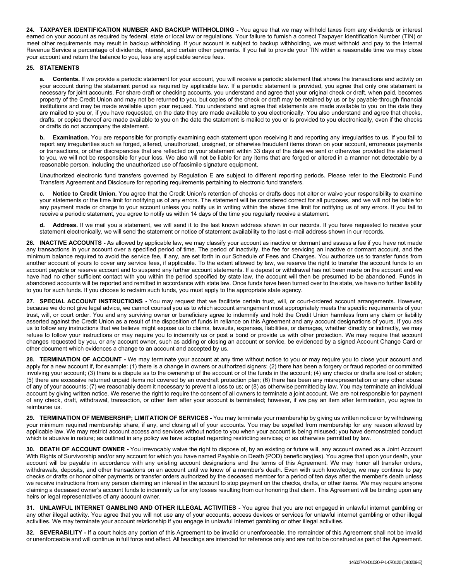**24. TAXPAYER IDENTIFICATION NUMBER AND BACKUP WITHHOLDING -** You agree that we may withhold taxes from any dividends or interest earned on your account as required by federal, state or local law or regulations. Your failure to furnish a correct Taxpayer Identification Number (TIN) or meet other requirements may result in backup withholding. If your account is subject to backup withholding, we must withhold and pay to the Internal Revenue Service a percentage of dividends, interest, and certain other payments. If you fail to provide your TIN within a reasonable time we may close your account and return the balance to you, less any applicable service fees.

#### **25. STATEMENTS**

**a. Contents.** If we provide a periodic statement for your account, you will receive a periodic statement that shows the transactions and activity on your account during the statement period as required by applicable law. If a periodic statement is provided, you agree that only one statement is necessary for joint accounts. For share draft or checking accounts, you understand and agree that your original check or draft, when paid, becomes property of the Credit Union and may not be returned to you, but copies of the check or draft may be retained by us or by payable-through financial institutions and may be made available upon your request. You understand and agree that statements are made available to you on the date they are mailed to you or, if you have requested, on the date they are made available to you electronically. You also understand and agree that checks, drafts, or copies thereof are made available to you on the date the statement is mailed to you or is provided to you electronically, even if the checks or drafts do not accompany the statement.

**b. Examination.** You are responsible for promptly examining each statement upon receiving it and reporting any irregularities to us. If you fail to report any irregularities such as forged, altered, unauthorized, unsigned, or otherwise fraudulent items drawn on your account, erroneous payments or transactions, or other discrepancies that are reflected on your statement within 33 days of the date we sent or otherwise provided the statement to you, we will not be responsible for your loss. We also will not be liable for any items that are forged or altered in a manner not detectable by a reasonable person, including the unauthorized use of facsimile signature equipment.

Unauthorized electronic fund transfers governed by Regulation E are subject to different reporting periods. Please refer to the Electronic Fund Transfers Agreement and Disclosure for reporting requirements pertaining to electronic fund transfers.

**c. Notice to Credit Union.** You agree that the Credit Union's retention of checks or drafts does not alter or waive your responsibility to examine your statements or the time limit for notifying us of any errors. The statement will be considered correct for all purposes, and we will not be liable for any payment made or charge to your account unless you notify us in writing within the above time limit for notifying us of any errors. If you fail to receive a periodic statement, you agree to notify us within 14 days of the time you regularly receive a statement.

**d. Address.** If we mail you a statement, we will send it to the last known address shown in our records. If you have requested to receive your statement electronically, we will send the statement or notice of statement availability to the last e-mail address shown in our records.

**26. INACTIVE ACCOUNTS -** As allowed by applicable law, we may classify your account as inactive or dormant and assess a fee if you have not made any transactions in your account over a specified period of time. The period of inactivity, the fee for servicing an inactive or dormant account, and the minimum balance required to avoid the service fee, if any, are set forth in our Schedule of Fees and Charges. You authorize us to transfer funds from another account of yours to cover any service fees, if applicable. To the extent allowed by law, we reserve the right to transfer the account funds to an account payable or reserve account and to suspend any further account statements. If a deposit or withdrawal has not been made on the account and we have had no other sufficient contact with you within the period specified by state law, the account will then be presumed to be abandoned. Funds in abandoned accounts will be reported and remitted in accordance with state law. Once funds have been turned over to the state, we have no further liability to you for such funds. If you choose to reclaim such funds, you must apply to the appropriate state agency.

**27. SPECIAL ACCOUNT INSTRUCTIONS -** You may request that we facilitate certain trust, will, or court-ordered account arrangements. However, because we do not give legal advice, we cannot counsel you as to which account arrangement most appropriately meets the specific requirements of your trust, will, or court order. You and any surviving owner or beneficiary agree to indemnify and hold the Credit Union harmless from any claim or liability asserted against the Credit Union as a result of the disposition of funds in reliance on this Agreement and any account designations of yours. If you ask us to follow any instructions that we believe might expose us to claims, lawsuits, expenses, liabilities, or damages, whether directly or indirectly, we may refuse to follow your instructions or may require you to indemnify us or post a bond or provide us with other protection. We may require that account changes requested by you, or any account owner, such as adding or closing an account or service, be evidenced by a signed Account Change Card or other document which evidences a change to an account and accepted by us.

**28. TERMINATION OF ACCOUNT -** We may terminate your account at any time without notice to you or may require you to close your account and apply for a new account if, for example: (1) there is a change in owners or authorized signers; (2) there has been a forgery or fraud reported or committed involving your account; (3) there is a dispute as to the ownership of the account or of the funds in the account; (4) any checks or drafts are lost or stolen; (5) there are excessive returned unpaid items not covered by an overdraft protection plan; (6) there has been any misrepresentation or any other abuse of any of your accounts; (7) we reasonably deem it necessary to prevent a loss to us; or (8) as otherwise permitted by law. You may terminate an individual account by giving written notice. We reserve the right to require the consent of all owners to terminate a joint account. We are not responsible for payment of any check, draft, withdrawal, transaction, or other item after your account is terminated; however, if we pay an item after termination, you agree to reimburse us.

**29. TERMINATION OF MEMBERSHIP; LIMITATION OF SERVICES -** You may terminate your membership by giving us written notice or by withdrawing your minimum required membership share, if any, and closing all of your accounts. You may be expelled from membership for any reason allowed by applicable law. We may restrict account access and services without notice to you when your account is being misused; you have demonstrated conduct which is abusive in nature; as outlined in any policy we have adopted regarding restricting services; or as otherwise permitted by law.

**30. DEATH OF ACCOUNT OWNER -** You irrevocably waive the right to dispose of, by an existing or future will, any account owned as a Joint Account With Rights of Survivorship and/or any account for which you have named Payable on Death (POD) beneficiary(ies). You agree that upon your death, your account will be payable in accordance with any existing account designations and the terms of this Agreement. We may honor all transfer orders, withdrawals, deposits, and other transactions on an account until we know of a member's death. Even with such knowledge, we may continue to pay checks or drafts or honor other payments or transfer orders authorized by the deceased member for a period of ten days after the member's death unless we receive instructions from any person claiming an interest in the account to stop payment on the checks, drafts, or other items. We may require anyone claiming a deceased owner's account funds to indemnify us for any losses resulting from our honoring that claim. This Agreement will be binding upon any heirs or legal representatives of any account owner.

**31. UNLAWFUL INTERNET GAMBLING AND OTHER ILLEGAL ACTIVITIES -** You agree that you are not engaged in unlawful internet gambling or any other illegal activity. You agree that you will not use any of your accounts, access devices or services for unlawful internet gambling or other illegal activities. We may terminate your account relationship if you engage in unlawful internet gambling or other illegal activities.

**32. SEVERABILITY -** If a court holds any portion of this Agreement to be invalid or unenforceable, the remainder of this Agreement shall not be invalid or unenforceable and will continue in full force and effect. All headings are intended for reference only and are not to be construed as part of the Agreement.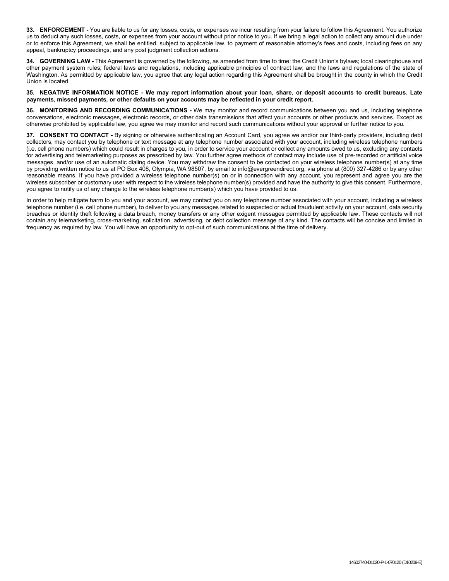**33. ENFORCEMENT -** You are liable to us for any losses, costs, or expenses we incur resulting from your failure to follow this Agreement. You authorize us to deduct any such losses, costs, or expenses from your account without prior notice to you. If we bring a legal action to collect any amount due under or to enforce this Agreement, we shall be entitled, subject to applicable law, to payment of reasonable attorney's fees and costs, including fees on any appeal, bankruptcy proceedings, and any post judgment collection actions.

**34. GOVERNING LAW -** This Agreement is governed by the following, as amended from time to time: the Credit Union's bylaws; local clearinghouse and other payment system rules; federal laws and regulations, including applicable principles of contract law; and the laws and regulations of the state of Washington. As permitted by applicable law, you agree that any legal action regarding this Agreement shall be brought in the county in which the Credit Union is located.

**35. NEGATIVE INFORMATION NOTICE - We may report information about your loan, share, or deposit accounts to credit bureaus. Late payments, missed payments, or other defaults on your accounts may be reflected in your credit report.**

**36. MONITORING AND RECORDING COMMUNICATIONS -** We may monitor and record communications between you and us, including telephone conversations, electronic messages, electronic records, or other data transmissions that affect your accounts or other products and services. Except as otherwise prohibited by applicable law, you agree we may monitor and record such communications without your approval or further notice to you.

**37. CONSENT TO CONTACT -** By signing or otherwise authenticating an Account Card, you agree we and/or our third-party providers, including debt collectors, may contact you by telephone or text message at any telephone number associated with your account, including wireless telephone numbers (i.e. cell phone numbers) which could result in charges to you, in order to service your account or collect any amounts owed to us, excluding any contacts for advertising and telemarketing purposes as prescribed by law. You further agree methods of contact may include use of pre-recorded or artificial voice messages, and/or use of an automatic dialing device. You may withdraw the consent to be contacted on your wireless telephone number(s) at any time by providing written notice to us at PO Box 408, Olympia, WA 98507, by email to info@evergreendirect.org, via phone at (800) 327-4286 or by any other reasonable means. If you have provided a wireless telephone number(s) on or in connection with any account, you represent and agree you are the wireless subscriber or customary user with respect to the wireless telephone number(s) provided and have the authority to give this consent. Furthermore, you agree to notify us of any change to the wireless telephone number(s) which you have provided to us.

In order to help mitigate harm to you and your account, we may contact you on any telephone number associated with your account, including a wireless telephone number (i.e. cell phone number), to deliver to you any messages related to suspected or actual fraudulent activity on your account, data security breaches or identity theft following a data breach, money transfers or any other exigent messages permitted by applicable law. These contacts will not contain any telemarketing, cross-marketing, solicitation, advertising, or debt collection message of any kind. The contacts will be concise and limited in frequency as required by law. You will have an opportunity to opt-out of such communications at the time of delivery.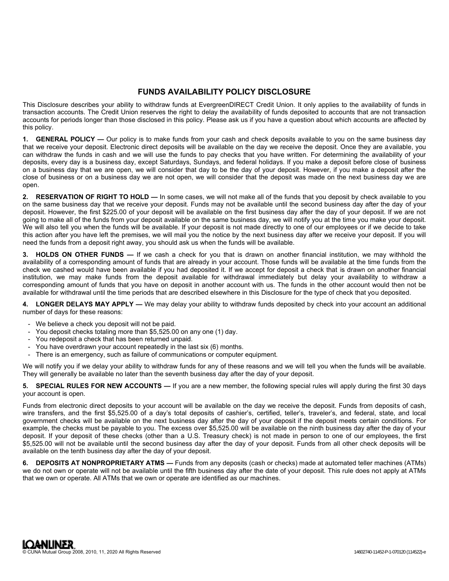## **FUNDS AVAILABILITY POLICY DISCLOSURE**

This Disclosure describes your ability to withdraw funds at EvergreenDIRECT Credit Union. It only applies to the availability of funds in transaction accounts. The Credit Union reserves the right to delay the availability of funds deposited to accounts that are not transaction accounts for periods longer than those disclosed in this policy. Please ask us if you have a question about which accounts are affected by this policy.

**1. GENERAL POLICY —** Our policy is to make funds from your cash and check deposits available to you on the same business day that we receive your deposit. Electronic direct deposits will be available on the day we receive the deposit. Once they are available, you can withdraw the funds in cash and we will use the funds to pay checks that you have written. For determining the availability of your deposits, every day is a business day, except Saturdays, Sundays, and federal holidays. If you make a deposit before close of business on a business day that we are open, we will consider that day to be the day of your deposit. However, if you make a deposit after the close of business or on a business day we are not open, we will consider that the deposit was made on the next business day we are open.

**2. RESERVATION OF RIGHT TO HOLD —** In some cases, we will not make all of the funds that you deposit by check available to you on the same business day that we receive your deposit. Funds may not be available until the second business day after the day of your deposit. However, the first \$225.00 of your deposit will be available on the first business day after the day of your deposit. If we are not going to make all of the funds from your deposit available on the same business day, we will notify you at the time you make your deposit. We will also tell you when the funds will be available. If your deposit is not made directly to one of our employees or if we decide to take this action after you have left the premises, we will mail you the notice by the next business day after we receive your deposit. If you will need the funds from a deposit right away, you should ask us when the funds will be available.

**3. HOLDS ON OTHER FUNDS —** If we cash a check for you that is drawn on another financial institution, we may withhold the availability of a corresponding amount of funds that are already in your account. Those funds will be available at the time funds from the check we cashed would have been available if you had deposited it. If we accept for deposit a check that is drawn on another financial institution, we may make funds from the deposit available for withdrawal immediately but delay your availability to withdraw a corresponding amount of funds that you have on deposit in another account with us. The funds in the other account would then not be available for withdrawal until the time periods that are described elsewhere in this Disclosure for the type of check that you deposited.

**4. LONGER DELAYS MAY APPLY —** We may delay your ability to withdraw funds deposited by check into your account an additional number of days for these reasons:

- We believe a check you deposit will not be paid.
- You deposit checks totaling more than \$5,525.00 on any one (1) day.
- You redeposit a check that has been returned unpaid.
- You have overdrawn your account repeatedly in the last six (6) months.
- There is an emergency, such as failure of communications or computer equipment.

We will notify you if we delay your ability to withdraw funds for any of these reasons and we will tell you when the funds will be available. They will generally be available no later than the seventh business day after the day of your deposit.

**5. SPECIAL RULES FOR NEW ACCOUNTS —** If you are a new member, the following special rules will apply during the first 30 days your account is open.

Funds from electronic direct deposits to your account will be available on the day we receive the deposit. Funds from deposits of cash, wire transfers, and the first \$5,525.00 of a day's total deposits of cashier's, certified, teller's, traveler's, and federal, state, and local government checks will be available on the next business day after the day of your deposit if the deposit meets certain conditions. For example, the checks must be payable to you. The excess over \$5,525.00 will be available on the ninth business day after the day of your deposit. If your deposit of these checks (other than a U.S. Treasury check) is not made in person to one of our employees, the first \$5,525.00 will not be available until the second business day after the day of your deposit. Funds from all other check deposits will be available on the tenth business day after the day of your deposit.

**6. DEPOSITS AT NONPROPRIETARY ATMS —** Funds from any deposits (cash or checks) made at automated teller machines (ATMs) we do not own or operate will not be available until the fifth business day after the date of your deposit. This rule does not apply at ATMs that we own or operate. All ATMs that we own or operate are identified as our machines.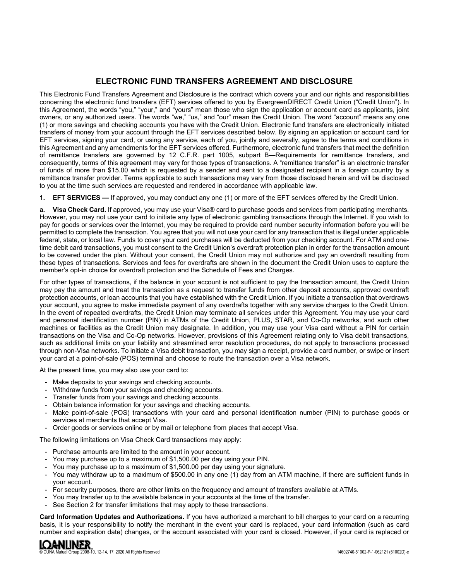## **ELECTRONIC FUND TRANSFERS AGREEMENT AND DISCLOSURE**

This Electronic Fund Transfers Agreement and Disclosure is the contract which covers your and our rights and responsibilities concerning the electronic fund transfers (EFT) services offered to you by EvergreenDIRECT Credit Union ("Credit Union"). In this Agreement, the words "you," "your," and "yours" mean those who sign the application or account card as applicants, joint owners, or any authorized users. The words "we," "us," and "our" mean the Credit Union. The word "account" means any one (1) or more savings and checking accounts you have with the Credit Union. Electronic fund transfers are electronically initiated transfers of money from your account through the EFT services described below. By signing an application or account card for EFT services, signing your card, or using any service, each of you, jointly and severally, agree to the terms and conditions in this Agreement and any amendments for the EFT services offered. Furthermore, electronic fund transfers that meet the definition of remittance transfers are governed by 12 C.F.R. part 1005, subpart B—Requirements for remittance transfers, and consequently, terms of this agreement may vary for those types of transactions. A "remittance transfer" is an electronic transfer of funds of more than \$15.00 which is requested by a sender and sent to a designated recipient in a foreign country by a remittance transfer provider. Terms applicable to such transactions may vary from those disclosed herein and will be disclosed to you at the time such services are requested and rendered in accordance with applicable law.

**1. EFT SERVICES —** If approved, you may conduct any one (1) or more of the EFT services offered by the Credit Union.

**a. Visa Check Card.** If approved, you may use your Visa® card to purchase goods and services from participating merchants. However, you may not use your card to initiate any type of electronic gambling transactions through the Internet. If you wish to pay for goods or services over the Internet, you may be required to provide card number security information before you will be permitted to complete the transaction. You agree that you will not use your card for any transaction that is illegal under applicable federal, state, or local law. Funds to cover your card purchases will be deducted from your checking account. For ATM and onetime debit card transactions, you must consent to the Credit Union's overdraft protection plan in order for the transaction amount to be covered under the plan. Without your consent, the Credit Union may not authorize and pay an overdraft resulting from these types of transactions. Services and fees for overdrafts are shown in the document the Credit Union uses to capture the member's opt-in choice for overdraft protection and the Schedule of Fees and Charges.

For other types of transactions, if the balance in your account is not sufficient to pay the transaction amount, the Credit Union may pay the amount and treat the transaction as a request to transfer funds from other deposit accounts, approved overdraft protection accounts, or loan accounts that you have established with the Credit Union. If you initiate a transaction that overdraws your account, you agree to make immediate payment of any overdrafts together with any service charges to the Credit Union. In the event of repeated overdrafts, the Credit Union may terminate all services under this Agreement. You may use your card and personal identification number (PIN) in ATMs of the Credit Union, PLUS, STAR, and Co-Op networks, and such other machines or facilities as the Credit Union may designate. In addition, you may use your Visa card without a PIN for certain transactions on the Visa and Co-Op networks. However, provisions of this Agreement relating only to Visa debit transactions, such as additional limits on your liability and streamlined error resolution procedures, do not apply to transactions processed through non-Visa networks. To initiate a Visa debit transaction, you may sign a receipt, provide a card number, or swipe or insert your card at a point-of-sale (POS) terminal and choose to route the transaction over a Visa network.

At the present time, you may also use your card to:

- Make deposits to your savings and checking accounts.
- Withdraw funds from your savings and checking accounts.
- Transfer funds from your savings and checking accounts.
- Obtain balance information for your savings and checking accounts.
- Make point-of-sale (POS) transactions with your card and personal identification number (PIN) to purchase goods or services at merchants that accept Visa.
- Order goods or services online or by mail or telephone from places that accept Visa.

The following limitations on Visa Check Card transactions may apply:

- Purchase amounts are limited to the amount in your account.
- You may purchase up to a maximum of \$1,500.00 per day using your PIN.
- You may purchase up to a maximum of \$1,500.00 per day using your signature.
- You may withdraw up to a maximum of \$500.00 in any one (1) day from an ATM machine, if there are sufficient funds in your account.
- For security purposes, there are other limits on the frequency and amount of transfers available at ATMs.
- You may transfer up to the available balance in your accounts at the time of the transfer.
- See Section 2 for transfer limitations that may apply to these transactions.

**Card Information Updates and Authorizations.** If you have authorized a merchant to bill charges to your card on a recurring basis, it is your responsibility to notify the merchant in the event your card is replaced, your card information (such as card number and expiration date) changes, or the account associated with your card is closed. However, if your card is replaced or

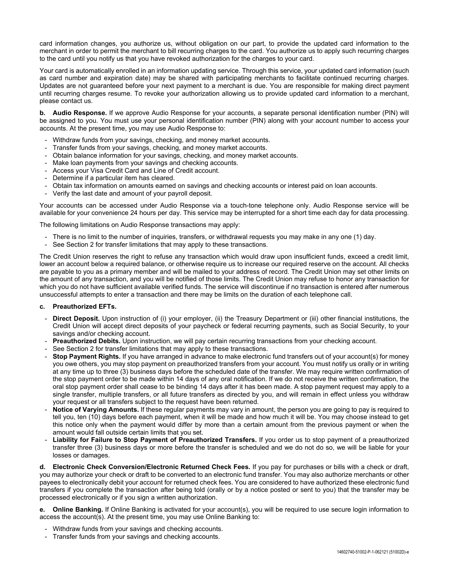card information changes, you authorize us, without obligation on our part, to provide the updated card information to the merchant in order to permit the merchant to bill recurring charges to the card. You authorize us to apply such recurring charges to the card until you notify us that you have revoked authorization for the charges to your card.

Your card is automatically enrolled in an information updating service. Through this service, your updated card information (such as card number and expiration date) may be shared with participating merchants to facilitate continued recurring charges. Updates are not guaranteed before your next payment to a merchant is due. You are responsible for making direct payment until recurring charges resume. To revoke your authorization allowing us to provide updated card information to a merchant, please contact us.

**b. Audio Response.** If we approve Audio Response for your accounts, a separate personal identification number (PIN) will be assigned to you. You must use your personal identification number (PIN) along with your account number to access your accounts. At the present time, you may use Audio Response to:

- Withdraw funds from your savings, checking, and money market accounts.
- Transfer funds from your savings, checking, and money market accounts.
- Obtain balance information for your savings, checking, and money market accounts.
- Make loan payments from your savings and checking accounts.
- Access your Visa Credit Card and Line of Credit account.
- Determine if a particular item has cleared.
- Obtain tax information on amounts earned on savings and checking accounts or interest paid on loan accounts.
- Verify the last date and amount of your payroll deposit.

Your accounts can be accessed under Audio Response via a touch-tone telephone only. Audio Response service will be available for your convenience 24 hours per day. This service may be interrupted for a short time each day for data processing.

The following limitations on Audio Response transactions may apply:

- There is no limit to the number of inquiries, transfers, or withdrawal requests you may make in any one (1) day.
- See Section 2 for transfer limitations that may apply to these transactions.

The Credit Union reserves the right to refuse any transaction which would draw upon insufficient funds, exceed a credit limit, lower an account below a required balance, or otherwise require us to increase our required reserve on the account. All checks are payable to you as a primary member and will be mailed to your address of record. The Credit Union may set other limits on the amount of any transaction, and you will be notified of those limits. The Credit Union may refuse to honor any transaction for which you do not have sufficient available verified funds. The service will discontinue if no transaction is entered after numerous unsuccessful attempts to enter a transaction and there may be limits on the duration of each telephone call.

#### **c. Preauthorized EFTs.**

- **Direct Deposit.** Upon instruction of (i) your employer, (ii) the Treasury Department or (iii) other financial institutions, the Credit Union will accept direct deposits of your paycheck or federal recurring payments, such as Social Security, to your savings and/or checking account.
- **Preauthorized Debits.** Upon instruction, we will pay certain recurring transactions from your checking account.
- See Section 2 for transfer limitations that may apply to these transactions.
- **Stop Payment Rights.** If you have arranged in advance to make electronic fund transfers out of your account(s) for money you owe others, you may stop payment on preauthorized transfers from your account. You must notify us orally or in writing at any time up to three (3) business days before the scheduled date of the transfer. We may require written confirmation of the stop payment order to be made within 14 days of any oral notification. If we do not receive the written confirmation, the oral stop payment order shall cease to be binding 14 days after it has been made. A stop payment request may apply to a single transfer, multiple transfers, or all future transfers as directed by you, and will remain in effect unless you withdraw your request or all transfers subject to the request have been returned.
- **Notice of Varying Amounts.** If these regular payments may vary in amount, the person you are going to pay is required to tell you, ten (10) days before each payment, when it will be made and how much it will be. You may choose instead to get this notice only when the payment would differ by more than a certain amount from the previous payment or when the amount would fall outside certain limits that you set.
- **Liability for Failure to Stop Payment of Preauthorized Transfers.** If you order us to stop payment of a preauthorized transfer three (3) business days or more before the transfer is scheduled and we do not do so, we will be liable for your losses or damages.

**d. Electronic Check Conversion/Electronic Returned Check Fees.** If you pay for purchases or bills with a check or draft, you may authorize your check or draft to be converted to an electronic fund transfer. You may also authorize merchants or other payees to electronically debit your account for returned check fees. You are considered to have authorized these electronic fund transfers if you complete the transaction after being told (orally or by a notice posted or sent to you) that the transfer may be processed electronically or if you sign a written authorization.

**e. Online Banking.** If Online Banking is activated for your account(s), you will be required to use secure login information to access the account(s). At the present time, you may use Online Banking to:

- Withdraw funds from your savings and checking accounts.
- Transfer funds from your savings and checking accounts.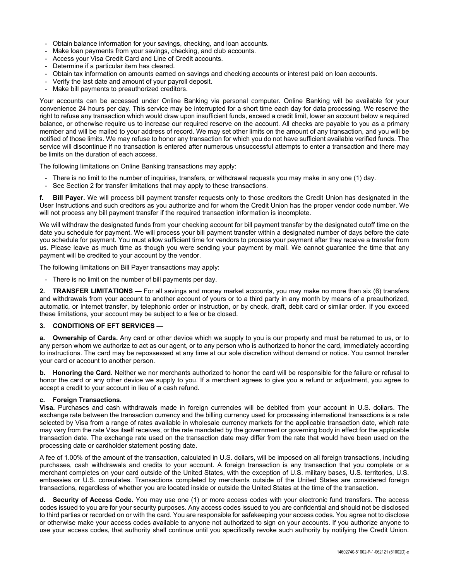- Obtain balance information for your savings, checking, and loan accounts.
- Make loan payments from your savings, checking, and club accounts.
- Access your Visa Credit Card and Line of Credit accounts.
- Determine if a particular item has cleared.
- Obtain tax information on amounts earned on savings and checking accounts or interest paid on loan accounts.
- Verify the last date and amount of your payroll deposit.
- Make bill payments to preauthorized creditors.

Your accounts can be accessed under Online Banking via personal computer. Online Banking will be available for your convenience 24 hours per day. This service may be interrupted for a short time each day for data processing. We reserve the right to refuse any transaction which would draw upon insufficient funds, exceed a credit limit, lower an account below a required balance, or otherwise require us to increase our required reserve on the account. All checks are payable to you as a primary member and will be mailed to your address of record. We may set other limits on the amount of any transaction, and you will be notified of those limits. We may refuse to honor any transaction for which you do not have sufficient available verified funds. The service will discontinue if no transaction is entered after numerous unsuccessful attempts to enter a transaction and there may be limits on the duration of each access.

The following limitations on Online Banking transactions may apply:

- There is no limit to the number of inquiries, transfers, or withdrawal requests you may make in any one (1) day.
- See Section 2 for transfer limitations that may apply to these transactions.

**f. Bill Payer.** We will process bill payment transfer requests only to those creditors the Credit Union has designated in the User Instructions and such creditors as you authorize and for whom the Credit Union has the proper vendor code number. We will not process any bill payment transfer if the required transaction information is incomplete.

We will withdraw the designated funds from your checking account for bill payment transfer by the designated cutoff time on the date you schedule for payment. We will process your bill payment transfer within a designated number of days before the date you schedule for payment. You must allow sufficient time for vendors to process your payment after they receive a transfer from us. Please leave as much time as though you were sending your payment by mail. We cannot guarantee the time that any payment will be credited to your account by the vendor.

The following limitations on Bill Payer transactions may apply:

- There is no limit on the number of bill payments per day.

**2. TRANSFER LIMITATIONS —** For all savings and money market accounts, you may make no more than six (6) transfers and withdrawals from your account to another account of yours or to a third party in any month by means of a preauthorized, automatic, or Internet transfer, by telephonic order or instruction, or by check, draft, debit card or similar order. If you exceed these limitations, your account may be subject to a fee or be closed.

## **3. CONDITIONS OF EFT SERVICES —**

**a. Ownership of Cards.** Any card or other device which we supply to you is our property and must be returned to us, or to any person whom we authorize to act as our agent, or to any person who is authorized to honor the card, immediately according to instructions. The card may be repossessed at any time at our sole discretion without demand or notice. You cannot transfer your card or account to another person.

**b. Honoring the Card.** Neither we nor merchants authorized to honor the card will be responsible for the failure or refusal to honor the card or any other device we supply to you. If a merchant agrees to give you a refund or adjustment, you agree to accept a credit to your account in lieu of a cash refund.

## **c. Foreign Transactions.**

**Visa.** Purchases and cash withdrawals made in foreign currencies will be debited from your account in U.S. dollars. The exchange rate between the transaction currency and the billing currency used for processing international transactions is a rate selected by Visa from a range of rates available in wholesale currency markets for the applicable transaction date, which rate may vary from the rate Visa itself receives, or the rate mandated by the government or governing body in effect for the applicable transaction date. The exchange rate used on the transaction date may differ from the rate that would have been used on the processing date or cardholder statement posting date.

A fee of 1.00% of the amount of the transaction, calculated in U.S. dollars, will be imposed on all foreign transactions, including purchases, cash withdrawals and credits to your account. A foreign transaction is any transaction that you complete or a merchant completes on your card outside of the United States, with the exception of U.S. military bases, U.S. territories, U.S. embassies or U.S. consulates. Transactions completed by merchants outside of the United States are considered foreign transactions, regardless of whether you are located inside or outside the United States at the time of the transaction.

**d. Security of Access Code.** You may use one (1) or more access codes with your electronic fund transfers. The access codes issued to you are for your security purposes. Any access codes issued to you are confidential and should not be disclosed to third parties or recorded on or with the card. You are responsible for safekeeping your access codes. You agree not to disclose or otherwise make your access codes available to anyone not authorized to sign on your accounts. If you authorize anyone to use your access codes, that authority shall continue until you specifically revoke such authority by notifying the Credit Union.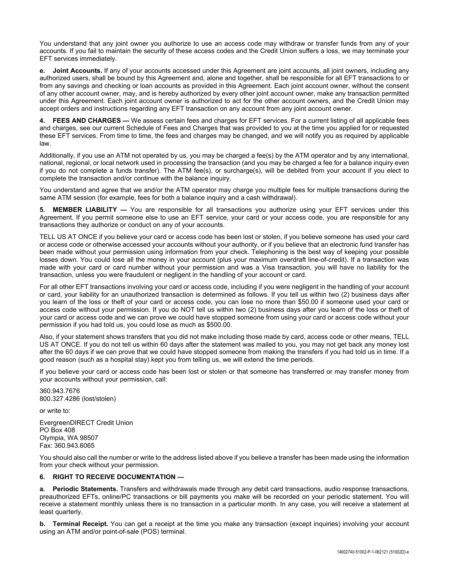You understand that any joint owner you authorize to use an access code may withdraw or transfer funds from any of your accounts. If you fail to maintain the security of these access codes and the Credit Union suffers a loss, we may terminate your EFT services immediately.

**e. Joint Accounts.** If any of your accounts accessed under this Agreement are joint accounts, all joint owners, including any authorized users, shall be bound by this Agreement and, alone and together, shall be responsible for all EFT transactions to or from any savings and checking or loan accounts as provided in this Agreement. Each joint account owner, without the consent of any other account owner, may, and is hereby authorized by every other joint account owner, make any transaction permitted under this Agreement. Each joint account owner is authorized to act for the other account owners, and the Credit Union may accept orders and instructions regarding any EFT transaction on any account from any joint account owner.

**4. FEES AND CHARGES —** We assess certain fees and charges for EFT services. For a current listing of all applicable fees and charges, see our current Schedule of Fees and Charges that was provided to you at the time you applied for or requested these EFT services. From time to time, the fees and charges may be changed, and we will notify you as required by applicable law.

Additionally, if you use an ATM not operated by us, you may be charged a fee(s) by the ATM operator and by any international, national, regional, or local network used in processing the transaction (and you may be charged a fee for a balance inquiry even if you do not complete a funds transfer). The ATM fee(s), or surcharge(s), will be debited from your account if you elect to complete the transaction and/or continue with the balance inquiry.

You understand and agree that we and/or the ATM operator may charge you multiple fees for multiple transactions during the same ATM session (for example, fees for both a balance inquiry and a cash withdrawal).

**5. MEMBER LIABILITY —** You are responsible for all transactions you authorize using your EFT services under this Agreement. If you permit someone else to use an EFT service, your card or your access code, you are responsible for any transactions they authorize or conduct on any of your accounts.

TELL US AT ONCE if you believe your card or access code has been lost or stolen, if you believe someone has used your card or access code or otherwise accessed your accounts without your authority, or if you believe that an electronic fund transfer has been made without your permission using information from your check. Telephoning is the best way of keeping your possible losses down. You could lose all the money in your account (plus your maximum overdraft line-of-credit). If a transaction was made with your card or card number without your permission and was a Visa transaction, you will have no liability for the transaction, unless you were fraudulent or negligent in the handling of your account or card.

For all other EFT transactions involving your card or access code, including if you were negligent in the handling of your account or card, your liability for an unauthorized transaction is determined as follows. If you tell us within two (2) business days after you learn of the loss or theft of your card or access code, you can lose no more than \$50.00 if someone used your card or access code without your permission. If you do NOT tell us within two (2) business days after you learn of the loss or theft of your card or access code and we can prove we could have stopped someone from using your card or access code without your permission if you had told us, you could lose as much as \$500.00.

Also, if your statement shows transfers that you did not make including those made by card, access code or other means, TELL US AT ONCE. If you do not tell us within 60 days after the statement was mailed to you, you may not get back any money lost after the 60 days if we can prove that we could have stopped someone from making the transfers if you had told us in time. If a good reason (such as a hospital stay) kept you from telling us, we will extend the time periods.

If you believe your card or access code has been lost or stolen or that someone has transferred or may transfer money from your accounts without your permission, call:

360.943.7676 800.327.4286 (lost/stolen)

or write to:

EvergreenDIRECT Credit Union PO Box 408 Olympia, WA 98507 Fax: 360.943.6065

You should also call the number or write to the address listed above if you believe a transfer has been made using the information from your check without your permission.

## **6. RIGHT TO RECEIVE DOCUMENTATION —**

**a. Periodic Statements.** Transfers and withdrawals made through any debit card transactions, audio response transactions, preauthorized EFTs, online/PC transactions or bill payments you make will be recorded on your periodic statement. You will receive a statement monthly unless there is no transaction in a particular month. In any case, you will receive a statement at least quarterly.

**b.** Terminal Receipt. You can get a receipt at the time you make any transaction (except inquiries) involving your account using an ATM and/or point-of-sale (POS) terminal.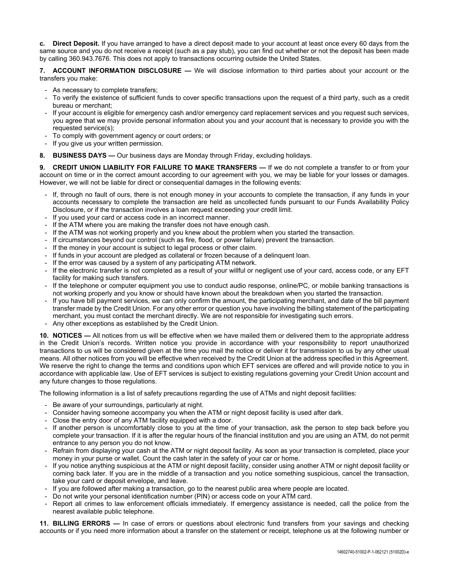**c. Direct Deposit.** If you have arranged to have a direct deposit made to your account at least once every 60 days from the same source and you do not receive a receipt (such as a pay stub), you can find out whether or not the deposit has been made by calling 360.943.7676. This does not apply to transactions occurring outside the United States.

**7. ACCOUNT INFORMATION DISCLOSURE —** We will disclose information to third parties about your account or the transfers you make:

- As necessary to complete transfers;
- To verify the existence of sufficient funds to cover specific transactions upon the request of a third party, such as a credit bureau or merchant;
- If your account is eligible for emergency cash and/or emergency card replacement services and you request such services, you agree that we may provide personal information about you and your account that is necessary to provide you with the requested service(s);
- To comply with government agency or court orders; or
- If you give us your written permission.
- **8. BUSINESS DAYS —** Our business days are Monday through Friday, excluding holidays.

**9. CREDIT UNION LIABILITY FOR FAILURE TO MAKE TRANSFERS —** If we do not complete a transfer to or from your account on time or in the correct amount according to our agreement with you, we may be liable for your losses or damages. However, we will not be liable for direct or consequential damages in the following events:

- If, through no fault of ours, there is not enough money in your accounts to complete the transaction, if any funds in your accounts necessary to complete the transaction are held as uncollected funds pursuant to our Funds Availability Policy Disclosure, or if the transaction involves a loan request exceeding your credit limit.
- If you used your card or access code in an incorrect manner.
- If the ATM where you are making the transfer does not have enough cash.
- If the ATM was not working properly and you knew about the problem when you started the transaction.
- If circumstances beyond our control (such as fire, flood, or power failure) prevent the transaction.
- If the money in your account is subject to legal process or other claim.
- If funds in your account are pledged as collateral or frozen because of a delinguent loan.
- If the error was caused by a system of any participating ATM network.
- If the electronic transfer is not completed as a result of your willful or negligent use of your card, access code, or any EFT facility for making such transfers.
- If the telephone or computer equipment you use to conduct audio response, online/PC, or mobile banking transactions is not working properly and you know or should have known about the breakdown when you started the transaction.
- If you have bill payment services, we can only confirm the amount, the participating merchant, and date of the bill payment transfer made by the Credit Union. For any other error or question you have involving the billing statement of the participating merchant, you must contact the merchant directly. We are not responsible for investigating such errors.
- Any other exceptions as established by the Credit Union.

**10. NOTICES —** All notices from us will be effective when we have mailed them or delivered them to the appropriate address in the Credit Union's records. Written notice you provide in accordance with your responsibility to report unauthorized transactions to us will be considered given at the time you mail the notice or deliver it for transmission to us by any other usual means. All other notices from you will be effective when received by the Credit Union at the address specified in this Agreement. We reserve the right to change the terms and conditions upon which EFT services are offered and will provide notice to you in accordance with applicable law. Use of EFT services is subject to existing regulations governing your Credit Union account and any future changes to those regulations.

The following information is a list of safety precautions regarding the use of ATMs and night deposit facilities:

- Be aware of your surroundings, particularly at night.
- Consider having someone accompany you when the ATM or night deposit facility is used after dark.
- Close the entry door of any ATM facility equipped with a door.
- If another person is uncomfortably close to you at the time of your transaction, ask the person to step back before you complete your transaction. If it is after the regular hours of the financial institution and you are using an ATM, do not permit entrance to any person you do not know.
- Refrain from displaying your cash at the ATM or night deposit facility. As soon as your transaction is completed, place your money in your purse or wallet. Count the cash later in the safety of your car or home.
- If you notice anything suspicious at the ATM or night deposit facility, consider using another ATM or night deposit facility or coming back later. If you are in the middle of a transaction and you notice something suspicious, cancel the transaction, take your card or deposit envelope, and leave.
- If you are followed after making a transaction, go to the nearest public area where people are located.
- Do not write your personal identification number (PIN) or access code on your ATM card.
- Report all crimes to law enforcement officials immediately. If emergency assistance is needed, call the police from the nearest available public telephone.

**11. BILLING ERRORS —** In case of errors or questions about electronic fund transfers from your savings and checking accounts or if you need more information about a transfer on the statement or receipt, telephone us at the following number or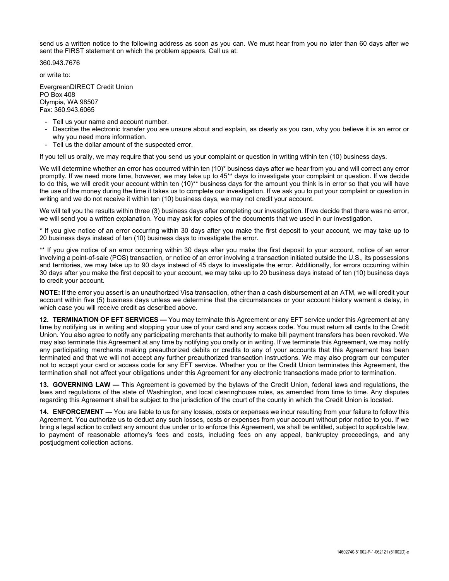send us a written notice to the following address as soon as you can. We must hear from you no later than 60 days after we sent the FIRST statement on which the problem appears. Call us at:

360.943.7676

or write to:

EvergreenDIRECT Credit Union PO Box 408 Olympia, WA 98507 Fax: 360.943.6065

- Tell us your name and account number.
- Describe the electronic transfer you are unsure about and explain, as clearly as you can, why you believe it is an error or why you need more information.
- Tell us the dollar amount of the suspected error.

If you tell us orally, we may require that you send us your complaint or question in writing within ten (10) business days.

We will determine whether an error has occurred within ten (10)\* business days after we hear from you and will correct any error promptly. If we need more time, however, we may take up to 45\*\* days to investigate your complaint or question. If we decide to do this, we will credit your account within ten (10)\*\* business days for the amount you think is in error so that you will have the use of the money during the time it takes us to complete our investigation. If we ask you to put your complaint or question in writing and we do not receive it within ten (10) business days, we may not credit your account.

We will tell you the results within three (3) business days after completing our investigation. If we decide that there was no error, we will send you a written explanation. You may ask for copies of the documents that we used in our investigation.

\* If you give notice of an error occurring within 30 days after you make the first deposit to your account, we may take up to 20 business days instead of ten (10) business days to investigate the error.

\*\* If you give notice of an error occurring within 30 days after you make the first deposit to your account, notice of an error involving a point-of-sale (POS) transaction, or notice of an error involving a transaction initiated outside the U.S., its possessions and territories, we may take up to 90 days instead of 45 days to investigate the error. Additionally, for errors occurring within 30 days after you make the first deposit to your account, we may take up to 20 business days instead of ten (10) business days to credit your account.

**NOTE:** If the error you assert is an unauthorized Visa transaction, other than a cash disbursement at an ATM, we will credit your account within five (5) business days unless we determine that the circumstances or your account history warrant a delay, in which case you will receive credit as described above.

**12. TERMINATION OF EFT SERVICES —** You may terminate this Agreement or any EFT service under this Agreement at any time by notifying us in writing and stopping your use of your card and any access code. You must return all cards to the Credit Union. You also agree to notify any participating merchants that authority to make bill payment transfers has been revoked. We may also terminate this Agreement at any time by notifying you orally or in writing. If we terminate this Agreement, we may notify any participating merchants making preauthorized debits or credits to any of your accounts that this Agreement has been terminated and that we will not accept any further preauthorized transaction instructions. We may also program our computer not to accept your card or access code for any EFT service. Whether you or the Credit Union terminates this Agreement, the termination shall not affect your obligations under this Agreement for any electronic transactions made prior to termination.

**13. GOVERNING LAW —** This Agreement is governed by the bylaws of the Credit Union, federal laws and regulations, the laws and regulations of the state of Washington, and local clearinghouse rules, as amended from time to time. Any disputes regarding this Agreement shall be subject to the jurisdiction of the court of the county in which the Credit Union is located.

**14. ENFORCEMENT —** You are liable to us for any losses, costs or expenses we incur resulting from your failure to follow this Agreement. You authorize us to deduct any such losses, costs or expenses from your account without prior notice to you. If we bring a legal action to collect any amount due under or to enforce this Agreement, we shall be entitled, subject to applicable law, to payment of reasonable attorney's fees and costs, including fees on any appeal, bankruptcy proceedings, and any postjudgment collection actions.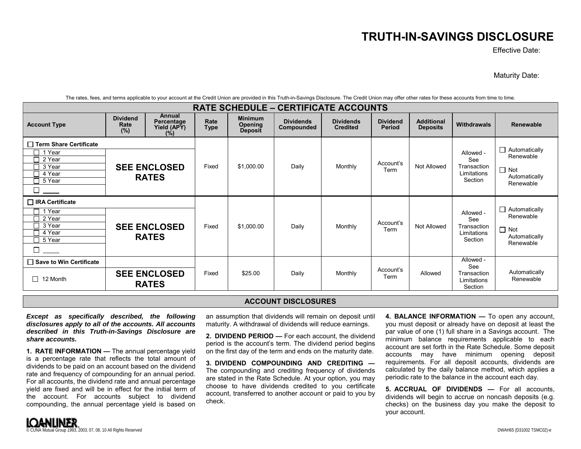# **TRUTH-IN-SAVINGS DISCLOSURE**

Effective Date:

Maturity Date:

| <b>RATE SCHEDULE - CERTIFICATE ACCOUNTS</b>                                |                                |                                                   |                     |                                                    |                                |                                     |                           |                                      |                                                           |                                                                               |
|----------------------------------------------------------------------------|--------------------------------|---------------------------------------------------|---------------------|----------------------------------------------------|--------------------------------|-------------------------------------|---------------------------|--------------------------------------|-----------------------------------------------------------|-------------------------------------------------------------------------------|
| <b>Account Type</b>                                                        | <b>Dividend</b><br>Rate<br>(%) | <b>Annual</b><br>Percentage<br>Yield (APY)<br>(%) | Rate<br><b>Type</b> | <b>Minimum</b><br><b>Opening</b><br><b>Deposit</b> | <b>Dividends</b><br>Compounded | <b>Dividends</b><br><b>Credited</b> | <b>Dividend</b><br>Period | <b>Additional</b><br><b>Deposits</b> | <b>Withdrawals</b>                                        | <b>Renewable</b>                                                              |
| □ Term Share Certificate<br>1 Year<br>2 Year<br>3 Year<br>4 Year<br>5 Year |                                | <b>SEE ENCLOSED</b><br><b>RATES</b>               | Fixed               | \$1,000.00                                         | Daily                          | Monthly                             | Account's<br>Term         | Not Allowed                          | Allowed -<br>See<br>Transaction<br>Limitations<br>Section | $\Box$ Automatically<br>Renewable<br>$\Box$ Not<br>Automatically<br>Renewable |
| $\Box$ IRA Certificate<br>1 Year<br>2 Year<br>3 Year<br>4 Year<br>5 Year   |                                | <b>SEE ENCLOSED</b><br><b>RATES</b>               | Fixed               | \$1,000.00                                         | Daily                          | Monthly                             | Account's<br>Term         | <b>Not Allowed</b>                   | Allowed -<br>See<br>Transaction<br>Limitations<br>Section | $\Box$ Automatically<br>Renewable<br>$\Box$ Not<br>Automatically<br>Renewable |
| □ Save to Win Certificate<br>12 Month<br>l 1                               |                                | <b>SEE ENCLOSED</b><br><b>RATES</b>               | Fixed               | \$25.00                                            | Daily                          | Monthly                             | Account's<br>Term         | Allowed                              | Allowed -<br>See<br>Transaction<br>Limitations<br>Section | Automatically<br>Renewable                                                    |

The rates, fees, and terms applicable to your account at the Credit Union are provided in this Truth-in-Savings Disclosure. The Credit Union may offer other rates for these accounts from time to time.

## **ACCOUNT DISCLOSURES**

*Except as specifically described, the following disclosures apply to all of the accounts. All accounts described in this Truth-in-Savings Disclosure are share accounts.*

**1. RATE INFORMATION —** The annual percentage yield is a percentage rate that reflects the total amount of dividends to be paid on an account based on the dividend rate and frequency of compounding for an annual period. For all accounts, the dividend rate and annual percentage yield are fixed and will be in effect for the initial term of the account. For accounts subject to dividend compounding, the annual percentage yield is based on

an assumption that dividends will remain on deposit until maturity. A withdrawal of dividends will reduce earnings.

**2. DIVIDEND PERIOD —** For each account, the dividend period is the account's term. The dividend period begins on the first day of the term and ends on the maturity date.

**3. DIVIDEND COMPOUNDING AND CREDITING —** The compounding and crediting frequency of dividends are stated in the Rate Schedule. At your option, you may choose to have dividends credited to you certificate account, transferred to another account or paid to you by check.

**4. BALANCE INFORMATION —** To open any account, you must deposit or already have on deposit at least the par value of one (1) full share in a Savings account. The minimum balance requirements applicable to each account are set forth in the Rate Schedule. Some deposit accounts may have minimum opening deposit requirements. For all deposit accounts, dividends are calculated by the daily balance method, which applies a periodic rate to the balance in the account each day.

**5. ACCRUAL OF DIVIDENDS —** For all accounts, dividends will begin to accrue on noncash deposits (e.g. checks) on the business day you make the deposit to your account.

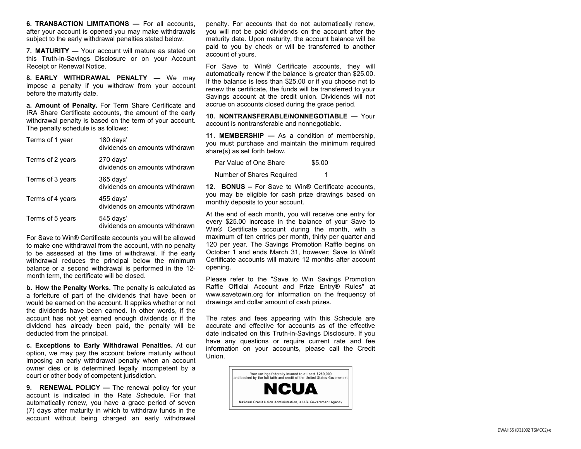**6. TRANSACTION LIMITATIONS —** For all accounts, after your account is opened you may make withdrawals subject to the early withdrawal penalties stated below.

**7. MATURITY —** Your account will mature as stated on this Truth -in -Savings Disclosure or on your Account Receipt or Renewal Notice.

**8. EARLY WITHDRAWAL PENALTY —** We may impose a penalty if you withdraw from your account before the maturity date.

**a. Amount of Penalty.** For Term Share Certificate and IRA Share Certificate accounts, the amount of the early withdrawal penalty is based on the term of your account. The penalty schedule is as follows:

| Terms of 1 year  | 180 days'<br>dividends on amounts withdrawn |
|------------------|---------------------------------------------|
| Terms of 2 years | 270 days'<br>dividends on amounts withdrawn |
| Terms of 3 years | 365 days'<br>dividends on amounts withdrawn |
| Terms of 4 years | 455 days'<br>dividends on amounts withdrawn |
| Terms of 5 years | 545 days'<br>dividends on amounts withdrawn |

For Save to Win® Certificate accounts you will be allowed to make one withdrawal from the account, with no penalty to be assessed at the time of withdrawal. If the early withdrawal reduces the principal below the minimum balance or a second withdrawal is performed in the 12 month term, the certificate will be closed.

**b. How the Penalty Works.** The penalty is calculated as a forfeiture of part of the dividends that have been or would be earned on the account. It applies whether or not the dividends have been earned. In other words, if the account has not yet earned enough dividends or if the dividend has already been paid, the penalty will be deducted from the principal.

**c. Exceptions to Early Withdrawal Penalties.** At our option, we may pay the account before maturity without imposing an early withdrawal penalty when an account owner dies or is determined legally incompetent by a court or other body of competent jurisdiction.

**9. RENEWAL POLICY —** The renewal policy for your account is indicated in the Rate Schedule. For that automatically renew, you have a grace period of seven (7) days after maturity in which to withdraw funds in the account without being charged an early withdrawal

penalty. For accounts that do not automatically renew, you will not be paid dividends on the account after the maturity date. Upon maturity, the account balance will be paid to you by check or will be transferred to another account of yours.

For Save to Win® Certificate accounts, they will automatically renew if the balance is greater than \$25.00. If the balance is less than \$25.00 or if you choose not to renew the certificate, the funds will be transferred to your Savings account at the credit union. Dividends will not accrue on accounts closed during the grace period.

**10. NONTRANSFERABLE/NONNEGOTIABLE —** Your account is nontransferable and nonnegotiable.

**11. MEMBERSHIP —** As a condition of membership, you must purchase and maintain the minimum required share(s) as set forth below.

Par Value of One Share \$5.00 Number of Shares Required 1

**12. BONUS –** For Save to Win® Certificate accounts, you may be eligible for cash prize drawings based on monthly deposits to your account.

At the end of each month, you will receive one entry for every \$25.00 increase in the balance of your Save to Win® Certificate account during the month, with a maximum of ten entries per month, thirty per quarter and 120 per year. The Savings Promotion Raffle begins on October 1 and ends March 31, however; Save to Win® Certificate accounts will mature 12 months after account opening.

Please refer to the "Save to Win Savings Promotion Raffle Official Account and Prize Entry® Rules" at www.savetowin.org for information on the frequency of drawings and dollar amount of cash prizes.

The rates and fees appearing with this Schedule are accurate and effective for accounts as of the effective date indicated on this Truth -in -Savings Disclosure. If you have any questions or require current rate and fee information on your accounts, please call the Credit Union.

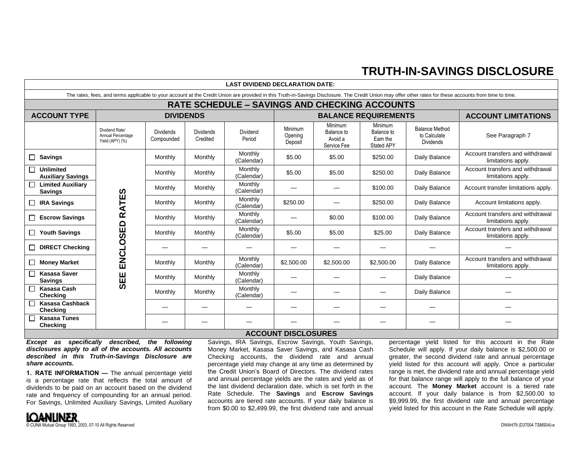## **TRUTH-IN-SAVINGS DISCLOSURE**

| <b>LAST DIVIDEND DECLARATION DATE:</b>                                                                                                                                                                   |                                                        |                                |                              |                       |                               |                                                 |                                                        |                                                           |                                                        |
|----------------------------------------------------------------------------------------------------------------------------------------------------------------------------------------------------------|--------------------------------------------------------|--------------------------------|------------------------------|-----------------------|-------------------------------|-------------------------------------------------|--------------------------------------------------------|-----------------------------------------------------------|--------------------------------------------------------|
| The rates, fees, and terms applicable to your account at the Credit Union are provided in this Truth-in-Savings Disclosure. The Credit Union may offer other rates for these accounts from time to time. |                                                        |                                |                              |                       |                               |                                                 |                                                        |                                                           |                                                        |
| <b>RATE SCHEDULE - SAVINGS AND CHECKING ACCOUNTS</b>                                                                                                                                                     |                                                        |                                |                              |                       |                               |                                                 |                                                        |                                                           |                                                        |
| <b>ACCOUNT TYPE</b>                                                                                                                                                                                      | <b>DIVIDENDS</b>                                       |                                |                              |                       |                               | <b>BALANCE REQUIREMENTS</b>                     | <b>ACCOUNT LIMITATIONS</b>                             |                                                           |                                                        |
|                                                                                                                                                                                                          | Dividend Rate/<br>Annual Percentage<br>Yield (APY) (%) | <b>Dividends</b><br>Compounded | <b>Dividends</b><br>Credited | Dividend<br>Period    | Minimum<br>Opening<br>Deposit | Minimum<br>Balance to<br>Avoid a<br>Service Fee | Minimum<br>Balance to<br>Earn the<br><b>Stated APY</b> | <b>Balance Method</b><br>to Calculate<br><b>Dividends</b> | See Paragraph 7                                        |
| $\Box$ Savings                                                                                                                                                                                           |                                                        | Monthly                        | Monthly                      | Monthly<br>(Calendar) | \$5.00                        | \$5.00                                          | \$250.00                                               | Daily Balance                                             | Account transfers and withdrawal<br>limitations apply. |
| <b>Unlimited</b><br><b>Auxiliary Savings</b>                                                                                                                                                             |                                                        | Monthly                        | Monthly                      | Monthly<br>(Calendar) | \$5.00                        | \$5.00                                          | \$250.00                                               | Daily Balance                                             | Account transfers and withdrawal<br>limitations apply. |
| □ Limited Auxiliary<br><b>Savings</b>                                                                                                                                                                    |                                                        | Monthly                        | Monthly                      | Monthly<br>(Calendar) |                               |                                                 | \$100.00                                               | Daily Balance                                             | Account transfer limitations apply.                    |
| $\Box$ IRA Savings                                                                                                                                                                                       | <b>RATES</b>                                           | Monthly                        | Monthly                      | Monthly<br>(Calendar) | \$250.00                      |                                                 | \$250.00                                               | Daily Balance                                             | Account limitations apply.                             |
| $\Box$ Escrow Savings                                                                                                                                                                                    |                                                        | Monthly                        | Monthly                      | Monthly<br>(Calendar) |                               | \$0.00                                          | \$100.00                                               | Daily Balance                                             | Account transfers and withdrawal<br>limitations apply. |
| $\Box$ Youth Savings                                                                                                                                                                                     | <b>ENCLOSED</b>                                        | Monthly                        | Monthly                      | Monthly<br>(Calendar) | \$5.00                        | \$5.00                                          | \$25.00                                                | Daily Balance                                             | Account transfers and withdrawal<br>limitations apply. |
| $\Box$ DIRECT Checking                                                                                                                                                                                   |                                                        |                                |                              |                       |                               |                                                 |                                                        |                                                           |                                                        |
| Money Market                                                                                                                                                                                             |                                                        | Monthly                        | Monthly                      | Monthly<br>(Calendar) | \$2,500.00                    | \$2,500.00                                      | \$2,500.00                                             | Daily Balance                                             | Account transfers and withdrawal<br>limitations apply. |
| <b>Kasasa Saver</b><br><b>Savings</b>                                                                                                                                                                    | SEE                                                    | Monthly                        | Monthly                      | Monthly<br>(Calendar) |                               |                                                 |                                                        | Daily Balance                                             |                                                        |
| <b>Kasasa Cash</b><br><b>Checking</b>                                                                                                                                                                    |                                                        | Monthly                        | Monthly                      | Monthly<br>(Calendar) |                               |                                                 |                                                        | Daily Balance                                             |                                                        |
| Kasasa Cashback<br><b>Checking</b>                                                                                                                                                                       |                                                        |                                |                              |                       |                               |                                                 |                                                        |                                                           |                                                        |
| <b>Kasasa Tunes</b><br>Checking                                                                                                                                                                          |                                                        |                                |                              |                       |                               |                                                 |                                                        |                                                           |                                                        |
| <b>ACCOUNT DISCLOSURES</b>                                                                                                                                                                               |                                                        |                                |                              |                       |                               |                                                 |                                                        |                                                           |                                                        |

*Except as specifically described, the following disclosures apply to all of the accounts. All accounts described in this Truth-in-Savings Disclosure are share accounts.*

**1. RATE INFORMATION —** The annual percentage yield is a percentage rate that reflects the total amount of dividends to be paid on an account based on the dividend rate and frequency of compounding for an annual period. For Savings, Unlimited Auxiliary Savings, Limited Auxiliary Savings, IRA Savings, Escrow Savings, Youth Savings, Money Market, Kasasa Saver Savings, and Kasasa Cash Checking accounts, the dividend rate and annual percentage yield may change at any time as determined by the Credit Union's Board of Directors. The dividend rates and annual percentage yields are the rates and yield as of the last dividend declaration date, which is set forth in the Rate Schedule. The **Savings** and **Escrow Savings** accounts are tiered rate accounts. If your daily balance is from \$0.00 to \$2,499.99, the first dividend rate and annual

percentage yield listed for this account in the Rate Schedule will apply. If your daily balance is \$2,500.00 or greater, the second dividend rate and annual percentage yield listed for this account will apply. Once a particular range is met, the dividend rate and annual percentage yield for that balance range will apply to the full balance of your account. The **Money Market** account is a tiered rate account. If your daily balance is from \$2,500.00 to \$9,999.99, the first dividend rate and annual percentage yield listed for this account in the Rate Schedule will apply.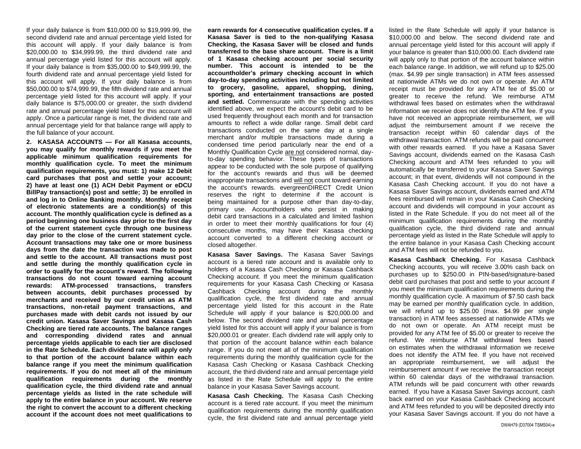If your daily balance is from \$10,000.00 to \$19,999.99, the second dividend rate and annual percentage yield listed for this account will apply. If your daily balance is from \$20,000.00 to \$34,999.99, the third dividend rate and annual percentage yield listed for this account will apply. If your daily balance is from \$35,000.00 to \$49,999.99, the fourth dividend rate and annual percentage yield listed for this account will apply. If your daily balance is from \$50,000.00 to \$74,999.99, the fifth dividend rate and annual percentage yield listed for this account will apply. If your daily balance is \$75,000.00 or greater, the sixth dividend rate and annual percentage yield listed for this account will apply. Once a particular range is met, the dividend rate and annual percentage yield for that balance range will apply to the full balance of your account.

**2. KASASA ACCOUNTS — For all Kasasa accounts, you may qualify for monthly rewards if you meet the applicable minimum qualification requirements for monthly qualification cycle. To meet the minimum qualification requirements, you must: 1) make 12 Debit card purchases that post and settle your account; 2) have at least one (1) ACH Debit Payment or eDCU BillPay transaction(s) post and settle; 3) be enrolled in and log in to Online Banking monthly. Monthly receipt of electronic statements are a condition(s) of this account. The monthly qualification cycle is defined as a period beginning one business day prior to the first day of the current statement cycle through one business day prior to the close of the current statement cycle. Account transactions may take one or more business days from the date the transaction was made to post and settle to the account. All transactions must post and settle during the monthly qualification cycle in order to qualify for the account's reward. The following transactions do not count toward earning account rewards: ATM-processed transactions, transfers between accounts, debit purchases processed by merchants and received by our credit union as ATM transactions, non-retail payment transactions, and purchases made with debit cards not issued by our credit union. Kasasa Saver Savings and Kasasa Cash Checking are tiered rate accounts. The balance ranges and corresponding dividend rates and annual percentage yields applicable to each tier are disclosed in the Rate Schedule. Each dividend rate will apply only to that portion of the account balance within each balance range if you meet the minimum qualification requirements. If you do not meet all of the minimum qualification requirements during the monthly qualification cycle, the third dividend rate and annual percentage yields as listed in the rate schedule will apply to the entire balance in your account. We reserve the right to convert the account to a different checking account if the account does not meet qualifications to**  **earn rewards for 4 consecutive qualification cycles. If a Kasasa Saver is tied to the non-qualifying Kasasa Checking, the Kasasa Saver will be closed and funds transferred to the base share account. There is a limit of 1 Kasasa checking account per social security number. This account is intended to be the accountholder's primary checking account in which day-to-day spending activities including but not limited to grocery, gasoline, apparel, shopping, dining, sporting, and entertainment transactions are posted and settled.** Commensurate with the spending activities identified above, we expect the account's debit card to be used frequently throughout each month and for transaction amounts to reflect a wide dollar range. Small debit card transactions conducted on the same day at a single merchant and/or multiple transactions made during a condensed time period particularly near the end of a Monthly Qualification Cycle are not considered normal, dayto-day spending behavior. These types of transactions appear to be conducted with the sole purpose of qualifying for the account's rewards and thus will be deemed inappropriate transactions and will not count toward earning the account's rewards. evergreenDIRECT Credit Union reserves the right to determine if the account is being maintained for a purpose other than day-to-day, primary use. Accountholders who persist in making debit card transactions in a calculated and limited fashion in order to meet their monthly qualifications for four (4) consecutive months, may have their Kasasa checking account converted to a different checking account or closed altogether.

**Kasasa Saver Savings.** The Kasasa Saver Savings account is a tiered rate account and is available only to holders of a Kasasa Cash Checking or Kasasa Cashback Checking account. If you meet the minimum qualification requirements for your Kasasa Cash Checking or Kasasa Cashback Checking account during the monthly qualification cycle, the first dividend rate and annual percentage yield listed for this account in the Rate Schedule will apply if your balance is \$20,000.00 and below. The second dividend rate and annual percentage yield listed for this account will apply if your balance is from \$20,000.01 or greater. Each dividend rate will apply only to that portion of the account balance within each balance range. If you do not meet all of the minimum qualification requirements during the monthly qualification cycle for the Kasasa Cash Checking or Kasasa Cashback Checking account, the third dividend rate and annual percentage yield as listed in the Rate Schedule will apply to the entire balance in your Kasasa Saver Savings account.

**Kasasa Cash Checking.** The Kasasa Cash Checking account is a tiered rate account. If you meet the minimum qualification requirements during the monthly qualification cycle, the first dividend rate and annual percentage yield listed in the Rate Schedule will apply if your balance is \$10,000.00 and below. The second dividend rate and annual percentage yield listed for this account will apply if your balance is greater than \$10,000.00. Each dividend rate will apply only to that portion of the account balance within each balance range. In addition, we will refund up to \$25.00 (max. \$4.99 per single transaction) in ATM fees assessed at nationwide ATMs we do not own or operate. An ATM receipt must be provided for any ATM fee of \$5.00 or greater to receive the refund. We reimburse ATM withdrawal fees based on estimates when the withdrawal information we receive does not identify the ATM fee. If you have not received an appropriate reimbursement, we will adjust the reimbursement amount if we receive the transaction receipt within 60 calendar days of the withdrawal transaction. ATM refunds will be paid concurrent with other rewards earned. If you have a Kasasa Saver Savings account, dividends earned on the Kasasa Cash Checking account and ATM fees refunded to you will automatically be transferred to your Kasasa Saver Savings account; in that event, dividends will not compound in the Kasasa Cash Checking account. If you do not have a Kasasa Saver Savings account, dividends earned and ATM fees reimbursed will remain in your Kasasa Cash Checking account and dividends will compound in your account as listed in the Rate Schedule. If you do not meet all of the minimum qualification requirements during the monthly qualification cycle, the third dividend rate and annual percentage yield as listed in the Rate Schedule will apply to the entire balance in your Kasasa Cash Checking account and ATM fees will not be refunded to you.

**Kasasa Cashback Checking.** For Kasasa Cashback Checking accounts, you will receive 3.00% cash back on purchases up to \$250.00 in PIN-based/signature-based debit card purchases that post and settle to your account if you meet the minimum qualification requirements during the monthly qualification cycle. A maximum of \$7.50 cash back may be earned per monthly qualification cycle. In addition, we will refund up to \$25.00 (max. \$4.99 per single transaction) in ATM fees assessed at nationwide ATMs we do not own or operate. An ATM receipt must be provided for any ATM fee of \$5.00 or greater to receive the refund. We reimburse ATM withdrawal fees based on estimates when the withdrawal information we receive does not identify the ATM fee. If you have not received an appropriate reimbursement, we will adjust the reimbursement amount if we receive the transaction receipt within 60 calendar days of the withdrawal transaction. ATM refunds will be paid concurrent with other rewards earned. If you have a Kasasa Saver Savings account, cash back earned on your Kasasa Cashback Checking account and ATM fees refunded to you will be deposited directly into your Kasasa Saver Savings account. If you do not have a